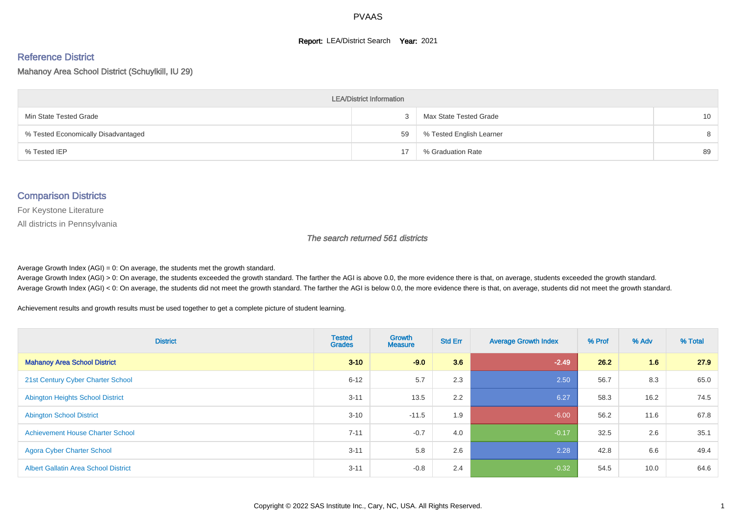#### **Report: LEA/District Search Year: 2021**

# Reference District

#### Mahanoy Area School District (Schuylkill, IU 29)

| <b>LEA/District Information</b>     |    |                          |                 |  |  |  |  |  |  |
|-------------------------------------|----|--------------------------|-----------------|--|--|--|--|--|--|
| Min State Tested Grade              |    | Max State Tested Grade   | 10 <sup>°</sup> |  |  |  |  |  |  |
| % Tested Economically Disadvantaged | 59 | % Tested English Learner | 8               |  |  |  |  |  |  |
| % Tested IEP                        | 17 | % Graduation Rate        | 89              |  |  |  |  |  |  |

#### Comparison Districts

For Keystone Literature

All districts in Pennsylvania

The search returned 561 districts

Average Growth Index  $(AGI) = 0$ : On average, the students met the growth standard.

Average Growth Index (AGI) > 0: On average, the students exceeded the growth standard. The farther the AGI is above 0.0, the more evidence there is that, on average, students exceeded the growth standard. Average Growth Index (AGI) < 0: On average, the students did not meet the growth standard. The farther the AGI is below 0.0, the more evidence there is that, on average, students did not meet the growth standard.

Achievement results and growth results must be used together to get a complete picture of student learning.

| <b>District</b>                             | <b>Tested</b><br><b>Grades</b> | <b>Growth</b><br><b>Measure</b> | <b>Std Err</b> | <b>Average Growth Index</b> | % Prof | % Adv | % Total |
|---------------------------------------------|--------------------------------|---------------------------------|----------------|-----------------------------|--------|-------|---------|
| <b>Mahanoy Area School District</b>         | $3 - 10$                       | $-9.0$                          | 3.6            | $-2.49$                     | 26.2   | 1.6   | 27.9    |
| 21st Century Cyber Charter School           | $6 - 12$                       | 5.7                             | 2.3            | 2.50                        | 56.7   | 8.3   | 65.0    |
| <b>Abington Heights School District</b>     | $3 - 11$                       | 13.5                            | 2.2            | 6.27                        | 58.3   | 16.2  | 74.5    |
| <b>Abington School District</b>             | $3 - 10$                       | $-11.5$                         | 1.9            | $-6.00$                     | 56.2   | 11.6  | 67.8    |
| <b>Achievement House Charter School</b>     | $7 - 11$                       | $-0.7$                          | 4.0            | $-0.17$                     | 32.5   | 2.6   | 35.1    |
| <b>Agora Cyber Charter School</b>           | $3 - 11$                       | 5.8                             | 2.6            | 2.28                        | 42.8   | 6.6   | 49.4    |
| <b>Albert Gallatin Area School District</b> | $3 - 11$                       | $-0.8$                          | 2.4            | $-0.32$                     | 54.5   | 10.0  | 64.6    |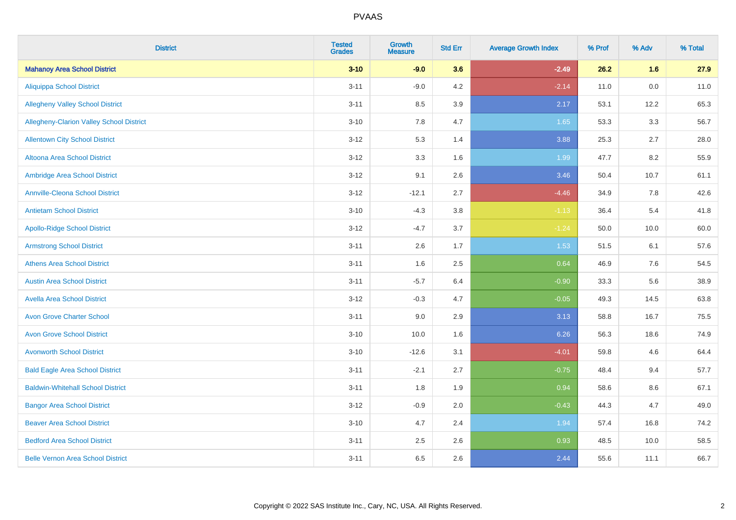| <b>District</b>                          | <b>Tested</b><br><b>Grades</b> | <b>Growth</b><br><b>Measure</b> | <b>Std Err</b> | <b>Average Growth Index</b> | % Prof | % Adv   | % Total |
|------------------------------------------|--------------------------------|---------------------------------|----------------|-----------------------------|--------|---------|---------|
| <b>Mahanoy Area School District</b>      | $3 - 10$                       | $-9.0$                          | 3.6            | $-2.49$                     | 26.2   | 1.6     | 27.9    |
| <b>Aliquippa School District</b>         | $3 - 11$                       | $-9.0$                          | 4.2            | $-2.14$                     | 11.0   | $0.0\,$ | 11.0    |
| <b>Allegheny Valley School District</b>  | $3 - 11$                       | 8.5                             | 3.9            | 2.17                        | 53.1   | 12.2    | 65.3    |
| Allegheny-Clarion Valley School District | $3 - 10$                       | 7.8                             | 4.7            | 1.65                        | 53.3   | 3.3     | 56.7    |
| <b>Allentown City School District</b>    | $3 - 12$                       | 5.3                             | 1.4            | 3.88                        | 25.3   | 2.7     | 28.0    |
| <b>Altoona Area School District</b>      | $3 - 12$                       | 3.3                             | 1.6            | 1.99                        | 47.7   | 8.2     | 55.9    |
| Ambridge Area School District            | $3 - 12$                       | 9.1                             | 2.6            | 3.46                        | 50.4   | 10.7    | 61.1    |
| <b>Annville-Cleona School District</b>   | $3 - 12$                       | $-12.1$                         | 2.7            | $-4.46$                     | 34.9   | 7.8     | 42.6    |
| <b>Antietam School District</b>          | $3 - 10$                       | $-4.3$                          | 3.8            | $-1.13$                     | 36.4   | 5.4     | 41.8    |
| <b>Apollo-Ridge School District</b>      | $3 - 12$                       | $-4.7$                          | 3.7            | $-1.24$                     | 50.0   | 10.0    | 60.0    |
| <b>Armstrong School District</b>         | $3 - 11$                       | 2.6                             | 1.7            | 1.53                        | 51.5   | 6.1     | 57.6    |
| <b>Athens Area School District</b>       | $3 - 11$                       | 1.6                             | 2.5            | 0.64                        | 46.9   | 7.6     | 54.5    |
| <b>Austin Area School District</b>       | $3 - 11$                       | $-5.7$                          | 6.4            | $-0.90$                     | 33.3   | 5.6     | 38.9    |
| <b>Avella Area School District</b>       | $3 - 12$                       | $-0.3$                          | 4.7            | $-0.05$                     | 49.3   | 14.5    | 63.8    |
| <b>Avon Grove Charter School</b>         | $3 - 11$                       | 9.0                             | 2.9            | 3.13                        | 58.8   | 16.7    | 75.5    |
| <b>Avon Grove School District</b>        | $3 - 10$                       | 10.0                            | 1.6            | 6.26                        | 56.3   | 18.6    | 74.9    |
| <b>Avonworth School District</b>         | $3 - 10$                       | $-12.6$                         | 3.1            | $-4.01$                     | 59.8   | 4.6     | 64.4    |
| <b>Bald Eagle Area School District</b>   | $3 - 11$                       | $-2.1$                          | 2.7            | $-0.75$                     | 48.4   | 9.4     | 57.7    |
| <b>Baldwin-Whitehall School District</b> | $3 - 11$                       | 1.8                             | 1.9            | 0.94                        | 58.6   | 8.6     | 67.1    |
| <b>Bangor Area School District</b>       | $3 - 12$                       | $-0.9$                          | 2.0            | $-0.43$                     | 44.3   | 4.7     | 49.0    |
| <b>Beaver Area School District</b>       | $3 - 10$                       | 4.7                             | 2.4            | 1.94                        | 57.4   | 16.8    | 74.2    |
| <b>Bedford Area School District</b>      | $3 - 11$                       | 2.5                             | 2.6            | 0.93                        | 48.5   | 10.0    | 58.5    |
| <b>Belle Vernon Area School District</b> | $3 - 11$                       | 6.5                             | 2.6            | 2.44                        | 55.6   | 11.1    | 66.7    |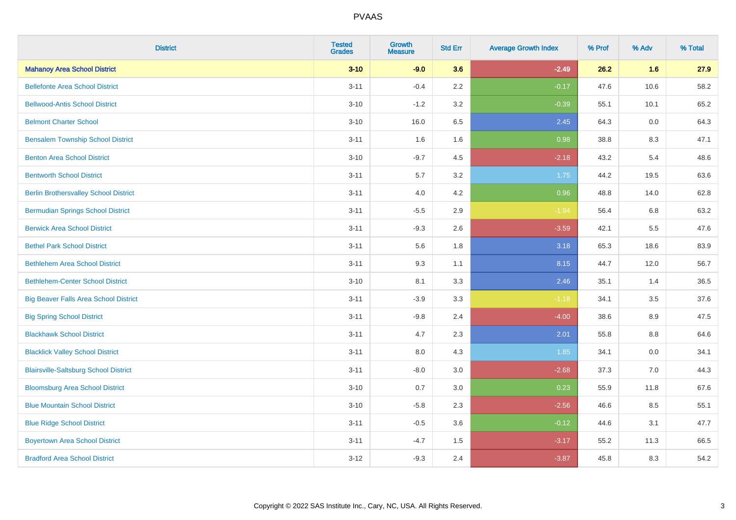| <b>District</b>                              | <b>Tested</b><br><b>Grades</b> | <b>Growth</b><br><b>Measure</b> | <b>Std Err</b> | <b>Average Growth Index</b> | % Prof | % Adv | % Total |
|----------------------------------------------|--------------------------------|---------------------------------|----------------|-----------------------------|--------|-------|---------|
| <b>Mahanoy Area School District</b>          | $3 - 10$                       | $-9.0$                          | 3.6            | $-2.49$                     | 26.2   | 1.6   | 27.9    |
| <b>Bellefonte Area School District</b>       | $3 - 11$                       | $-0.4$                          | 2.2            | $-0.17$                     | 47.6   | 10.6  | 58.2    |
| <b>Bellwood-Antis School District</b>        | $3 - 10$                       | $-1.2$                          | 3.2            | $-0.39$                     | 55.1   | 10.1  | 65.2    |
| <b>Belmont Charter School</b>                | $3 - 10$                       | 16.0                            | 6.5            | 2.45                        | 64.3   | 0.0   | 64.3    |
| <b>Bensalem Township School District</b>     | $3 - 11$                       | 1.6                             | 1.6            | 0.98                        | 38.8   | 8.3   | 47.1    |
| <b>Benton Area School District</b>           | $3 - 10$                       | $-9.7$                          | 4.5            | $-2.18$                     | 43.2   | 5.4   | 48.6    |
| <b>Bentworth School District</b>             | $3 - 11$                       | 5.7                             | 3.2            | 1.75                        | 44.2   | 19.5  | 63.6    |
| <b>Berlin Brothersvalley School District</b> | $3 - 11$                       | 4.0                             | 4.2            | 0.96                        | 48.8   | 14.0  | 62.8    |
| <b>Bermudian Springs School District</b>     | $3 - 11$                       | $-5.5$                          | 2.9            | $-1.94$                     | 56.4   | 6.8   | 63.2    |
| <b>Berwick Area School District</b>          | $3 - 11$                       | $-9.3$                          | 2.6            | $-3.59$                     | 42.1   | 5.5   | 47.6    |
| <b>Bethel Park School District</b>           | $3 - 11$                       | 5.6                             | 1.8            | 3.18                        | 65.3   | 18.6  | 83.9    |
| <b>Bethlehem Area School District</b>        | $3 - 11$                       | 9.3                             | 1.1            | 8.15                        | 44.7   | 12.0  | 56.7    |
| <b>Bethlehem-Center School District</b>      | $3 - 10$                       | 8.1                             | 3.3            | 2.46                        | 35.1   | 1.4   | 36.5    |
| <b>Big Beaver Falls Area School District</b> | $3 - 11$                       | $-3.9$                          | 3.3            | $-1.18$                     | 34.1   | 3.5   | 37.6    |
| <b>Big Spring School District</b>            | $3 - 11$                       | $-9.8$                          | 2.4            | $-4.00$                     | 38.6   | 8.9   | 47.5    |
| <b>Blackhawk School District</b>             | $3 - 11$                       | 4.7                             | 2.3            | 2.01                        | 55.8   | 8.8   | 64.6    |
| <b>Blacklick Valley School District</b>      | $3 - 11$                       | 8.0                             | 4.3            | 1.85                        | 34.1   | 0.0   | 34.1    |
| <b>Blairsville-Saltsburg School District</b> | $3 - 11$                       | $-8.0$                          | 3.0            | $-2.68$                     | 37.3   | 7.0   | 44.3    |
| <b>Bloomsburg Area School District</b>       | $3 - 10$                       | 0.7                             | 3.0            | 0.23                        | 55.9   | 11.8  | 67.6    |
| <b>Blue Mountain School District</b>         | $3 - 10$                       | $-5.8$                          | 2.3            | $-2.56$                     | 46.6   | 8.5   | 55.1    |
| <b>Blue Ridge School District</b>            | $3 - 11$                       | $-0.5$                          | 3.6            | $-0.12$                     | 44.6   | 3.1   | 47.7    |
| <b>Boyertown Area School District</b>        | $3 - 11$                       | $-4.7$                          | 1.5            | $-3.17$                     | 55.2   | 11.3  | 66.5    |
| <b>Bradford Area School District</b>         | $3 - 12$                       | $-9.3$                          | 2.4            | $-3.87$                     | 45.8   | 8.3   | 54.2    |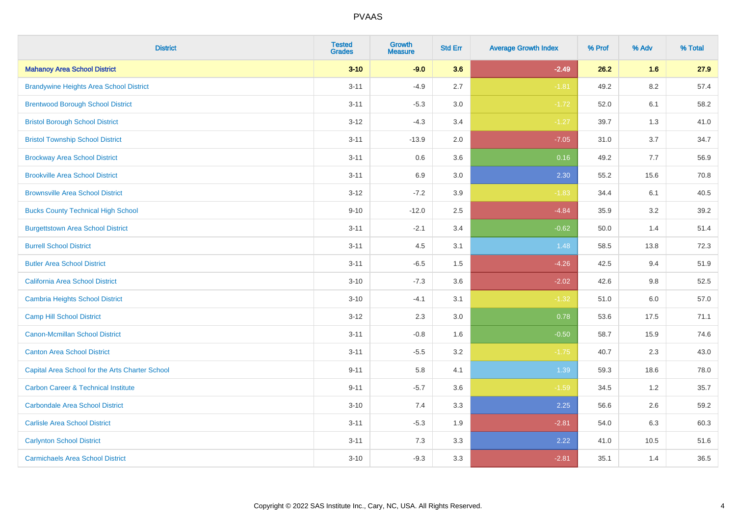| <b>District</b>                                 | <b>Tested</b><br><b>Grades</b> | <b>Growth</b><br><b>Measure</b> | <b>Std Err</b> | <b>Average Growth Index</b> | % Prof | % Adv   | % Total |
|-------------------------------------------------|--------------------------------|---------------------------------|----------------|-----------------------------|--------|---------|---------|
| <b>Mahanoy Area School District</b>             | $3 - 10$                       | $-9.0$                          | 3.6            | $-2.49$                     | 26.2   | 1.6     | 27.9    |
| <b>Brandywine Heights Area School District</b>  | $3 - 11$                       | $-4.9$                          | 2.7            | $-1.81$                     | 49.2   | 8.2     | 57.4    |
| <b>Brentwood Borough School District</b>        | $3 - 11$                       | $-5.3$                          | 3.0            | $-1.72$                     | 52.0   | 6.1     | 58.2    |
| <b>Bristol Borough School District</b>          | $3 - 12$                       | $-4.3$                          | 3.4            | $-1.27$                     | 39.7   | 1.3     | 41.0    |
| <b>Bristol Township School District</b>         | $3 - 11$                       | $-13.9$                         | 2.0            | $-7.05$                     | 31.0   | 3.7     | 34.7    |
| <b>Brockway Area School District</b>            | $3 - 11$                       | 0.6                             | 3.6            | 0.16                        | 49.2   | 7.7     | 56.9    |
| <b>Brookville Area School District</b>          | $3 - 11$                       | 6.9                             | 3.0            | 2.30                        | 55.2   | 15.6    | 70.8    |
| <b>Brownsville Area School District</b>         | $3 - 12$                       | $-7.2$                          | 3.9            | $-1.83$                     | 34.4   | 6.1     | 40.5    |
| <b>Bucks County Technical High School</b>       | $9 - 10$                       | $-12.0$                         | 2.5            | $-4.84$                     | 35.9   | 3.2     | 39.2    |
| <b>Burgettstown Area School District</b>        | $3 - 11$                       | $-2.1$                          | 3.4            | $-0.62$                     | 50.0   | 1.4     | 51.4    |
| <b>Burrell School District</b>                  | $3 - 11$                       | 4.5                             | 3.1            | 1.48                        | 58.5   | 13.8    | 72.3    |
| <b>Butler Area School District</b>              | $3 - 11$                       | $-6.5$                          | 1.5            | $-4.26$                     | 42.5   | 9.4     | 51.9    |
| California Area School District                 | $3 - 10$                       | $-7.3$                          | 3.6            | $-2.02$                     | 42.6   | 9.8     | 52.5    |
| <b>Cambria Heights School District</b>          | $3 - 10$                       | $-4.1$                          | 3.1            | $-1.32$                     | 51.0   | $6.0\,$ | 57.0    |
| <b>Camp Hill School District</b>                | $3 - 12$                       | 2.3                             | 3.0            | 0.78                        | 53.6   | 17.5    | 71.1    |
| Canon-Mcmillan School District                  | $3 - 11$                       | $-0.8$                          | 1.6            | $-0.50$                     | 58.7   | 15.9    | 74.6    |
| <b>Canton Area School District</b>              | $3 - 11$                       | $-5.5$                          | 3.2            | $-1.75$                     | 40.7   | 2.3     | 43.0    |
| Capital Area School for the Arts Charter School | $9 - 11$                       | 5.8                             | 4.1            | 1.39                        | 59.3   | 18.6    | 78.0    |
| <b>Carbon Career &amp; Technical Institute</b>  | $9 - 11$                       | $-5.7$                          | 3.6            | $-1.59$                     | 34.5   | 1.2     | 35.7    |
| <b>Carbondale Area School District</b>          | $3 - 10$                       | 7.4                             | 3.3            | 2.25                        | 56.6   | 2.6     | 59.2    |
| <b>Carlisle Area School District</b>            | $3 - 11$                       | $-5.3$                          | 1.9            | $-2.81$                     | 54.0   | 6.3     | 60.3    |
| <b>Carlynton School District</b>                | $3 - 11$                       | 7.3                             | 3.3            | 2.22                        | 41.0   | 10.5    | 51.6    |
| <b>Carmichaels Area School District</b>         | $3 - 10$                       | $-9.3$                          | 3.3            | $-2.81$                     | 35.1   | 1.4     | 36.5    |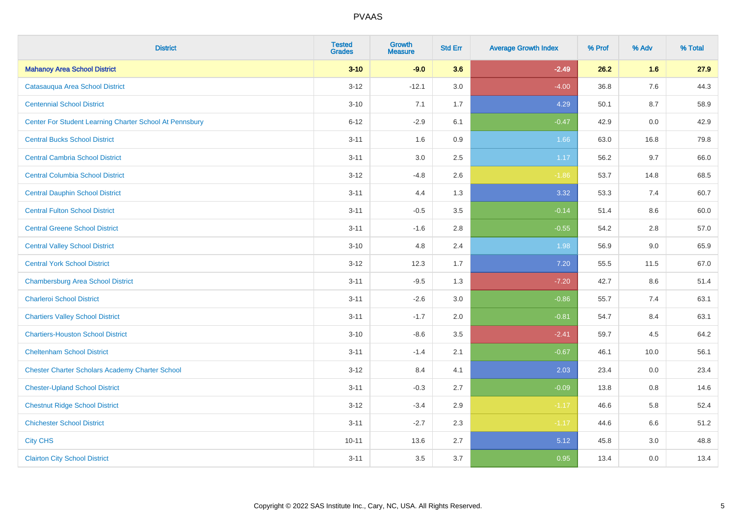| <b>District</b>                                         | <b>Tested</b><br><b>Grades</b> | <b>Growth</b><br><b>Measure</b> | <b>Std Err</b> | <b>Average Growth Index</b> | % Prof | % Adv   | % Total |
|---------------------------------------------------------|--------------------------------|---------------------------------|----------------|-----------------------------|--------|---------|---------|
| <b>Mahanoy Area School District</b>                     | $3 - 10$                       | $-9.0$                          | 3.6            | $-2.49$                     | 26.2   | 1.6     | 27.9    |
| Catasaugua Area School District                         | $3 - 12$                       | $-12.1$                         | 3.0            | $-4.00$                     | 36.8   | $7.6\,$ | 44.3    |
| <b>Centennial School District</b>                       | $3 - 10$                       | 7.1                             | 1.7            | 4.29                        | 50.1   | 8.7     | 58.9    |
| Center For Student Learning Charter School At Pennsbury | $6 - 12$                       | $-2.9$                          | 6.1            | $-0.47$                     | 42.9   | 0.0     | 42.9    |
| <b>Central Bucks School District</b>                    | $3 - 11$                       | 1.6                             | 0.9            | 1.66                        | 63.0   | 16.8    | 79.8    |
| <b>Central Cambria School District</b>                  | $3 - 11$                       | 3.0                             | 2.5            | 1.17                        | 56.2   | 9.7     | 66.0    |
| <b>Central Columbia School District</b>                 | $3 - 12$                       | $-4.8$                          | 2.6            | $-1.86$                     | 53.7   | 14.8    | 68.5    |
| <b>Central Dauphin School District</b>                  | $3 - 11$                       | 4.4                             | 1.3            | 3.32                        | 53.3   | 7.4     | 60.7    |
| <b>Central Fulton School District</b>                   | $3 - 11$                       | $-0.5$                          | 3.5            | $-0.14$                     | 51.4   | 8.6     | 60.0    |
| <b>Central Greene School District</b>                   | $3 - 11$                       | $-1.6$                          | 2.8            | $-0.55$                     | 54.2   | 2.8     | 57.0    |
| <b>Central Valley School District</b>                   | $3 - 10$                       | 4.8                             | 2.4            | 1.98                        | 56.9   | 9.0     | 65.9    |
| <b>Central York School District</b>                     | $3 - 12$                       | 12.3                            | 1.7            | 7.20                        | 55.5   | 11.5    | 67.0    |
| <b>Chambersburg Area School District</b>                | $3 - 11$                       | $-9.5$                          | 1.3            | $-7.20$                     | 42.7   | 8.6     | 51.4    |
| <b>Charleroi School District</b>                        | $3 - 11$                       | $-2.6$                          | 3.0            | $-0.86$                     | 55.7   | 7.4     | 63.1    |
| <b>Chartiers Valley School District</b>                 | $3 - 11$                       | $-1.7$                          | 2.0            | $-0.81$                     | 54.7   | 8.4     | 63.1    |
| <b>Chartiers-Houston School District</b>                | $3 - 10$                       | $-8.6$                          | 3.5            | $-2.41$                     | 59.7   | 4.5     | 64.2    |
| <b>Cheltenham School District</b>                       | $3 - 11$                       | $-1.4$                          | 2.1            | $-0.67$                     | 46.1   | 10.0    | 56.1    |
| <b>Chester Charter Scholars Academy Charter School</b>  | $3 - 12$                       | 8.4                             | 4.1            | 2.03                        | 23.4   | 0.0     | 23.4    |
| <b>Chester-Upland School District</b>                   | $3 - 11$                       | $-0.3$                          | 2.7            | $-0.09$                     | 13.8   | 0.8     | 14.6    |
| <b>Chestnut Ridge School District</b>                   | $3 - 12$                       | $-3.4$                          | 2.9            | $-1.17$                     | 46.6   | 5.8     | 52.4    |
| <b>Chichester School District</b>                       | $3 - 11$                       | $-2.7$                          | 2.3            | $-1.17$                     | 44.6   | 6.6     | 51.2    |
| <b>City CHS</b>                                         | $10 - 11$                      | 13.6                            | 2.7            | 5.12                        | 45.8   | 3.0     | 48.8    |
| <b>Clairton City School District</b>                    | $3 - 11$                       | 3.5                             | 3.7            | 0.95                        | 13.4   | 0.0     | 13.4    |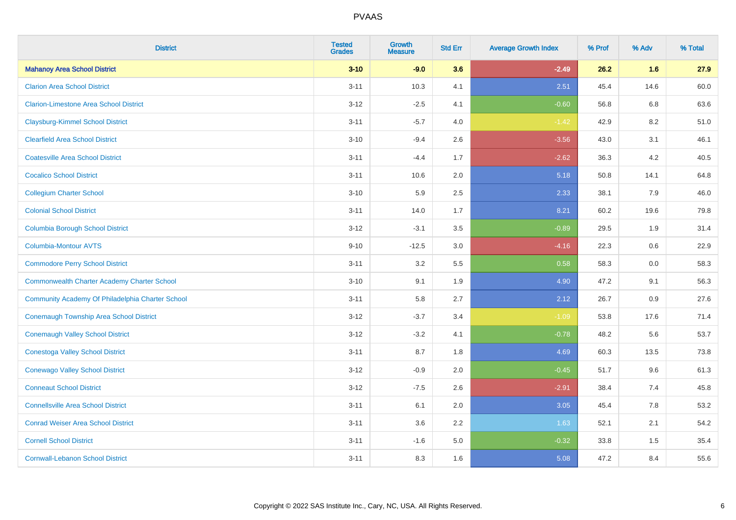| <b>District</b>                                    | <b>Tested</b><br><b>Grades</b> | <b>Growth</b><br><b>Measure</b> | <b>Std Err</b> | <b>Average Growth Index</b> | % Prof | % Adv | % Total |
|----------------------------------------------------|--------------------------------|---------------------------------|----------------|-----------------------------|--------|-------|---------|
| <b>Mahanoy Area School District</b>                | $3 - 10$                       | $-9.0$                          | 3.6            | $-2.49$                     | 26.2   | 1.6   | 27.9    |
| <b>Clarion Area School District</b>                | $3 - 11$                       | 10.3                            | 4.1            | 2.51                        | 45.4   | 14.6  | 60.0    |
| <b>Clarion-Limestone Area School District</b>      | $3 - 12$                       | $-2.5$                          | 4.1            | $-0.60$                     | 56.8   | 6.8   | 63.6    |
| <b>Claysburg-Kimmel School District</b>            | $3 - 11$                       | $-5.7$                          | 4.0            | $-1.42$                     | 42.9   | 8.2   | 51.0    |
| <b>Clearfield Area School District</b>             | $3 - 10$                       | $-9.4$                          | 2.6            | $-3.56$                     | 43.0   | 3.1   | 46.1    |
| <b>Coatesville Area School District</b>            | $3 - 11$                       | $-4.4$                          | 1.7            | $-2.62$                     | 36.3   | 4.2   | 40.5    |
| <b>Cocalico School District</b>                    | $3 - 11$                       | 10.6                            | 2.0            | 5.18                        | 50.8   | 14.1  | 64.8    |
| <b>Collegium Charter School</b>                    | $3 - 10$                       | 5.9                             | 2.5            | 2.33                        | 38.1   | 7.9   | 46.0    |
| <b>Colonial School District</b>                    | $3 - 11$                       | 14.0                            | 1.7            | 8.21                        | 60.2   | 19.6  | 79.8    |
| <b>Columbia Borough School District</b>            | $3 - 12$                       | $-3.1$                          | 3.5            | $-0.89$                     | 29.5   | 1.9   | 31.4    |
| Columbia-Montour AVTS                              | $9 - 10$                       | $-12.5$                         | 3.0            | $-4.16$                     | 22.3   | 0.6   | 22.9    |
| <b>Commodore Perry School District</b>             | $3 - 11$                       | 3.2                             | 5.5            | 0.58                        | 58.3   | 0.0   | 58.3    |
| <b>Commonwealth Charter Academy Charter School</b> | $3 - 10$                       | 9.1                             | 1.9            | 4.90                        | 47.2   | 9.1   | 56.3    |
| Community Academy Of Philadelphia Charter School   | $3 - 11$                       | 5.8                             | 2.7            | 2.12                        | 26.7   | 0.9   | 27.6    |
| Conemaugh Township Area School District            | $3 - 12$                       | $-3.7$                          | 3.4            | $-1.09$                     | 53.8   | 17.6  | 71.4    |
| <b>Conemaugh Valley School District</b>            | $3 - 12$                       | $-3.2$                          | 4.1            | $-0.78$                     | 48.2   | 5.6   | 53.7    |
| <b>Conestoga Valley School District</b>            | $3 - 11$                       | 8.7                             | 1.8            | 4.69                        | 60.3   | 13.5  | 73.8    |
| <b>Conewago Valley School District</b>             | $3 - 12$                       | $-0.9$                          | 2.0            | $-0.45$                     | 51.7   | 9.6   | 61.3    |
| <b>Conneaut School District</b>                    | $3 - 12$                       | $-7.5$                          | 2.6            | $-2.91$                     | 38.4   | 7.4   | 45.8    |
| <b>Connellsville Area School District</b>          | $3 - 11$                       | 6.1                             | 2.0            | 3.05                        | 45.4   | 7.8   | 53.2    |
| <b>Conrad Weiser Area School District</b>          | $3 - 11$                       | 3.6                             | 2.2            | 1.63                        | 52.1   | 2.1   | 54.2    |
| <b>Cornell School District</b>                     | $3 - 11$                       | $-1.6$                          | 5.0            | $-0.32$                     | 33.8   | 1.5   | 35.4    |
| <b>Cornwall-Lebanon School District</b>            | $3 - 11$                       | 8.3                             | 1.6            | 5.08                        | 47.2   | 8.4   | 55.6    |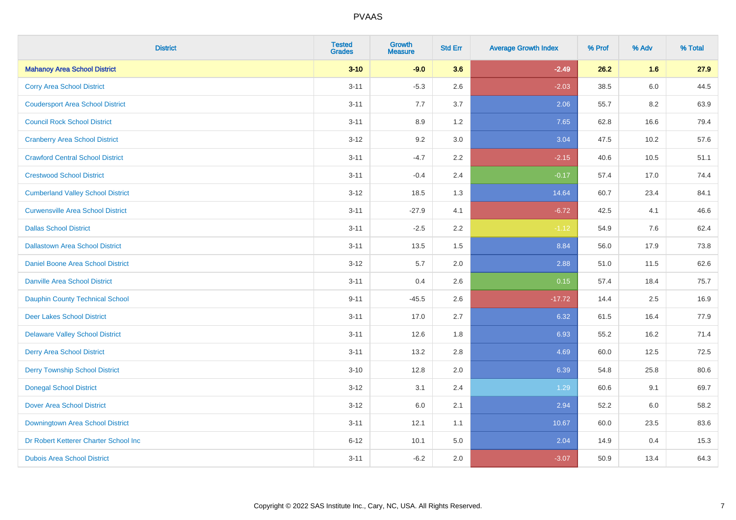| <b>District</b>                          | <b>Tested</b><br><b>Grades</b> | <b>Growth</b><br><b>Measure</b> | <b>Std Err</b> | <b>Average Growth Index</b> | % Prof | % Adv   | % Total |
|------------------------------------------|--------------------------------|---------------------------------|----------------|-----------------------------|--------|---------|---------|
| <b>Mahanoy Area School District</b>      | $3 - 10$                       | $-9.0$                          | 3.6            | $-2.49$                     | 26.2   | 1.6     | 27.9    |
| <b>Corry Area School District</b>        | $3 - 11$                       | $-5.3$                          | 2.6            | $-2.03$                     | 38.5   | $6.0\,$ | 44.5    |
| <b>Coudersport Area School District</b>  | $3 - 11$                       | 7.7                             | 3.7            | 2.06                        | 55.7   | 8.2     | 63.9    |
| <b>Council Rock School District</b>      | $3 - 11$                       | 8.9                             | 1.2            | 7.65                        | 62.8   | 16.6    | 79.4    |
| <b>Cranberry Area School District</b>    | $3 - 12$                       | 9.2                             | 3.0            | 3.04                        | 47.5   | 10.2    | 57.6    |
| <b>Crawford Central School District</b>  | $3 - 11$                       | $-4.7$                          | 2.2            | $-2.15$                     | 40.6   | 10.5    | 51.1    |
| <b>Crestwood School District</b>         | $3 - 11$                       | $-0.4$                          | 2.4            | $-0.17$                     | 57.4   | 17.0    | 74.4    |
| <b>Cumberland Valley School District</b> | $3 - 12$                       | 18.5                            | 1.3            | 14.64                       | 60.7   | 23.4    | 84.1    |
| <b>Curwensville Area School District</b> | $3 - 11$                       | $-27.9$                         | 4.1            | $-6.72$                     | 42.5   | 4.1     | 46.6    |
| <b>Dallas School District</b>            | $3 - 11$                       | $-2.5$                          | 2.2            | $-1.12$                     | 54.9   | 7.6     | 62.4    |
| <b>Dallastown Area School District</b>   | $3 - 11$                       | 13.5                            | 1.5            | 8.84                        | 56.0   | 17.9    | 73.8    |
| <b>Daniel Boone Area School District</b> | $3 - 12$                       | 5.7                             | 2.0            | 2.88                        | 51.0   | 11.5    | 62.6    |
| Danville Area School District            | $3 - 11$                       | 0.4                             | 2.6            | 0.15                        | 57.4   | 18.4    | 75.7    |
| <b>Dauphin County Technical School</b>   | $9 - 11$                       | $-45.5$                         | 2.6            | $-17.72$                    | 14.4   | 2.5     | 16.9    |
| <b>Deer Lakes School District</b>        | $3 - 11$                       | 17.0                            | 2.7            | 6.32                        | 61.5   | 16.4    | 77.9    |
| <b>Delaware Valley School District</b>   | $3 - 11$                       | 12.6                            | 1.8            | 6.93                        | 55.2   | 16.2    | 71.4    |
| <b>Derry Area School District</b>        | $3 - 11$                       | 13.2                            | 2.8            | 4.69                        | 60.0   | 12.5    | 72.5    |
| <b>Derry Township School District</b>    | $3 - 10$                       | 12.8                            | 2.0            | 6.39                        | 54.8   | 25.8    | 80.6    |
| <b>Donegal School District</b>           | $3 - 12$                       | 3.1                             | 2.4            | 1.29                        | 60.6   | 9.1     | 69.7    |
| <b>Dover Area School District</b>        | $3 - 12$                       | 6.0                             | 2.1            | 2.94                        | 52.2   | 6.0     | 58.2    |
| Downingtown Area School District         | $3 - 11$                       | 12.1                            | 1.1            | 10.67                       | 60.0   | 23.5    | 83.6    |
| Dr Robert Ketterer Charter School Inc    | $6 - 12$                       | 10.1                            | 5.0            | 2.04                        | 14.9   | 0.4     | 15.3    |
| <b>Dubois Area School District</b>       | $3 - 11$                       | $-6.2$                          | 2.0            | $-3.07$                     | 50.9   | 13.4    | 64.3    |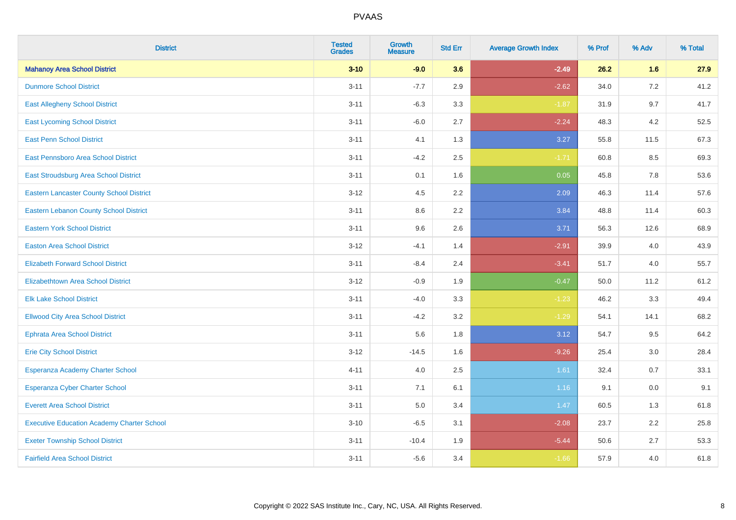| <b>District</b>                                   | <b>Tested</b><br><b>Grades</b> | <b>Growth</b><br><b>Measure</b> | <b>Std Err</b> | <b>Average Growth Index</b> | % Prof | % Adv   | % Total |
|---------------------------------------------------|--------------------------------|---------------------------------|----------------|-----------------------------|--------|---------|---------|
| <b>Mahanoy Area School District</b>               | $3 - 10$                       | $-9.0$                          | 3.6            | $-2.49$                     | 26.2   | 1.6     | 27.9    |
| <b>Dunmore School District</b>                    | $3 - 11$                       | $-7.7$                          | 2.9            | $-2.62$                     | 34.0   | 7.2     | 41.2    |
| <b>East Allegheny School District</b>             | $3 - 11$                       | $-6.3$                          | 3.3            | $-1.87$                     | 31.9   | 9.7     | 41.7    |
| <b>East Lycoming School District</b>              | $3 - 11$                       | $-6.0$                          | 2.7            | $-2.24$                     | 48.3   | 4.2     | 52.5    |
| <b>East Penn School District</b>                  | $3 - 11$                       | 4.1                             | 1.3            | 3.27                        | 55.8   | 11.5    | 67.3    |
| East Pennsboro Area School District               | $3 - 11$                       | $-4.2$                          | 2.5            | $-1.71$                     | 60.8   | 8.5     | 69.3    |
| East Stroudsburg Area School District             | $3 - 11$                       | 0.1                             | 1.6            | 0.05                        | 45.8   | 7.8     | 53.6    |
| <b>Eastern Lancaster County School District</b>   | $3 - 12$                       | 4.5                             | 2.2            | 2.09                        | 46.3   | 11.4    | 57.6    |
| <b>Eastern Lebanon County School District</b>     | $3 - 11$                       | 8.6                             | 2.2            | 3.84                        | 48.8   | 11.4    | 60.3    |
| <b>Eastern York School District</b>               | $3 - 11$                       | 9.6                             | 2.6            | 3.71                        | 56.3   | 12.6    | 68.9    |
| <b>Easton Area School District</b>                | $3 - 12$                       | $-4.1$                          | 1.4            | $-2.91$                     | 39.9   | 4.0     | 43.9    |
| <b>Elizabeth Forward School District</b>          | $3 - 11$                       | $-8.4$                          | 2.4            | $-3.41$                     | 51.7   | 4.0     | 55.7    |
| Elizabethtown Area School District                | $3 - 12$                       | $-0.9$                          | 1.9            | $-0.47$                     | 50.0   | 11.2    | 61.2    |
| <b>Elk Lake School District</b>                   | $3 - 11$                       | $-4.0$                          | 3.3            | $-1.23$                     | 46.2   | 3.3     | 49.4    |
| <b>Ellwood City Area School District</b>          | $3 - 11$                       | $-4.2$                          | 3.2            | $-1.29$                     | 54.1   | 14.1    | 68.2    |
| <b>Ephrata Area School District</b>               | $3 - 11$                       | 5.6                             | 1.8            | 3.12                        | 54.7   | 9.5     | 64.2    |
| <b>Erie City School District</b>                  | $3 - 12$                       | $-14.5$                         | 1.6            | $-9.26$                     | 25.4   | 3.0     | 28.4    |
| Esperanza Academy Charter School                  | $4 - 11$                       | 4.0                             | 2.5            | 1.61                        | 32.4   | 0.7     | 33.1    |
| <b>Esperanza Cyber Charter School</b>             | $3 - 11$                       | 7.1                             | 6.1            | 1.16                        | 9.1    | $0.0\,$ | 9.1     |
| <b>Everett Area School District</b>               | $3 - 11$                       | 5.0                             | 3.4            | 1.47                        | 60.5   | 1.3     | 61.8    |
| <b>Executive Education Academy Charter School</b> | $3 - 10$                       | $-6.5$                          | 3.1            | $-2.08$                     | 23.7   | 2.2     | 25.8    |
| <b>Exeter Township School District</b>            | $3 - 11$                       | $-10.4$                         | 1.9            | $-5.44$                     | 50.6   | 2.7     | 53.3    |
| <b>Fairfield Area School District</b>             | $3 - 11$                       | $-5.6$                          | 3.4            | $-1.66$                     | 57.9   | 4.0     | 61.8    |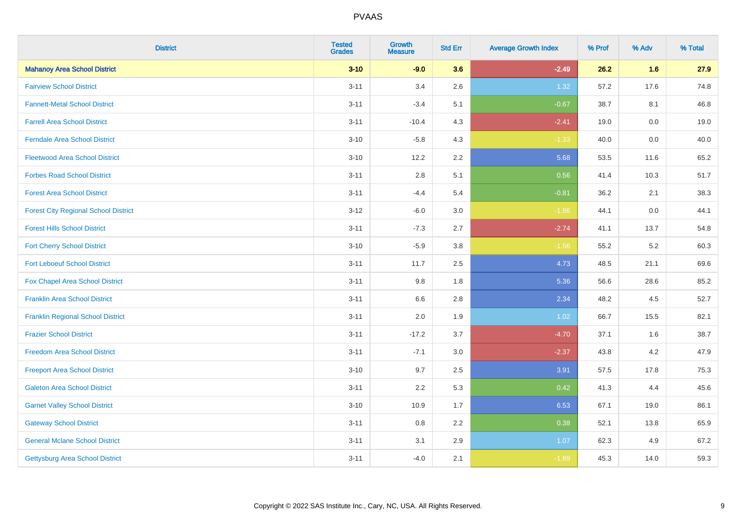| <b>District</b>                             | <b>Tested</b><br><b>Grades</b> | <b>Growth</b><br><b>Measure</b> | <b>Std Err</b> | <b>Average Growth Index</b> | % Prof | % Adv   | % Total |
|---------------------------------------------|--------------------------------|---------------------------------|----------------|-----------------------------|--------|---------|---------|
| <b>Mahanoy Area School District</b>         | $3 - 10$                       | $-9.0$                          | 3.6            | $-2.49$                     | 26.2   | 1.6     | 27.9    |
| <b>Fairview School District</b>             | $3 - 11$                       | 3.4                             | 2.6            | 1.32                        | 57.2   | 17.6    | 74.8    |
| <b>Fannett-Metal School District</b>        | $3 - 11$                       | $-3.4$                          | 5.1            | $-0.67$                     | 38.7   | 8.1     | 46.8    |
| <b>Farrell Area School District</b>         | $3 - 11$                       | $-10.4$                         | 4.3            | $-2.41$                     | 19.0   | $0.0\,$ | 19.0    |
| <b>Ferndale Area School District</b>        | $3 - 10$                       | $-5.8$                          | 4.3            | $-1.33$                     | 40.0   | 0.0     | 40.0    |
| <b>Fleetwood Area School District</b>       | $3 - 10$                       | 12.2                            | 2.2            | 5.68                        | 53.5   | 11.6    | 65.2    |
| <b>Forbes Road School District</b>          | $3 - 11$                       | 2.8                             | 5.1            | 0.56                        | 41.4   | 10.3    | 51.7    |
| <b>Forest Area School District</b>          | $3 - 11$                       | $-4.4$                          | 5.4            | $-0.81$                     | 36.2   | 2.1     | 38.3    |
| <b>Forest City Regional School District</b> | $3-12$                         | $-6.0$                          | 3.0            | $-1.96$                     | 44.1   | 0.0     | 44.1    |
| <b>Forest Hills School District</b>         | $3 - 11$                       | $-7.3$                          | 2.7            | $-2.74$                     | 41.1   | 13.7    | 54.8    |
| <b>Fort Cherry School District</b>          | $3 - 10$                       | $-5.9$                          | 3.8            | $-1.56$                     | 55.2   | 5.2     | 60.3    |
| <b>Fort Leboeuf School District</b>         | $3 - 11$                       | 11.7                            | 2.5            | 4.73                        | 48.5   | 21.1    | 69.6    |
| <b>Fox Chapel Area School District</b>      | $3 - 11$                       | 9.8                             | 1.8            | 5.36                        | 56.6   | 28.6    | 85.2    |
| <b>Franklin Area School District</b>        | $3 - 11$                       | 6.6                             | 2.8            | 2.34                        | 48.2   | 4.5     | 52.7    |
| <b>Franklin Regional School District</b>    | $3 - 11$                       | 2.0                             | 1.9            | 1.02                        | 66.7   | 15.5    | 82.1    |
| <b>Frazier School District</b>              | $3 - 11$                       | $-17.2$                         | 3.7            | $-4.70$                     | 37.1   | 1.6     | 38.7    |
| <b>Freedom Area School District</b>         | $3 - 11$                       | $-7.1$                          | 3.0            | $-2.37$                     | 43.8   | 4.2     | 47.9    |
| <b>Freeport Area School District</b>        | $3 - 10$                       | 9.7                             | 2.5            | 3.91                        | 57.5   | 17.8    | 75.3    |
| <b>Galeton Area School District</b>         | $3 - 11$                       | 2.2                             | 5.3            | 0.42                        | 41.3   | 4.4     | 45.6    |
| <b>Garnet Valley School District</b>        | $3 - 10$                       | 10.9                            | 1.7            | 6.53                        | 67.1   | 19.0    | 86.1    |
| <b>Gateway School District</b>              | $3 - 11$                       | 0.8                             | 2.2            | 0.38                        | 52.1   | 13.8    | 65.9    |
| <b>General Mclane School District</b>       | $3 - 11$                       | 3.1                             | 2.9            | 1.07                        | 62.3   | 4.9     | 67.2    |
| <b>Gettysburg Area School District</b>      | $3 - 11$                       | $-4.0$                          | 2.1            | $-1.89$                     | 45.3   | 14.0    | 59.3    |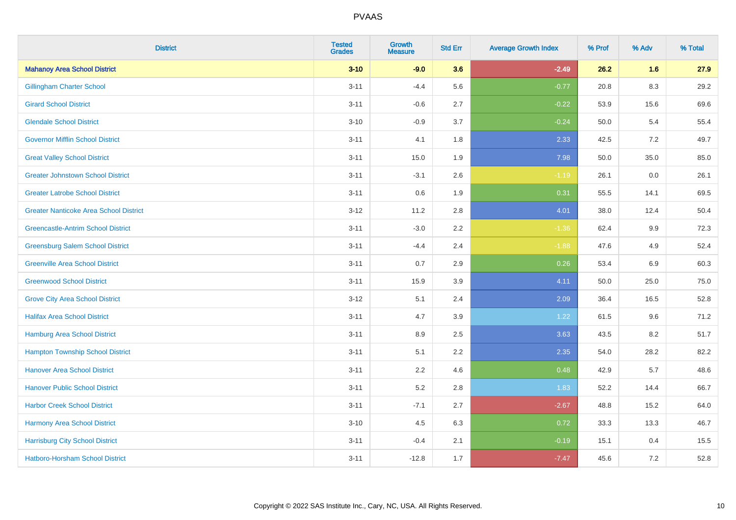| <b>District</b>                               | <b>Tested</b><br><b>Grades</b> | <b>Growth</b><br><b>Measure</b> | <b>Std Err</b> | <b>Average Growth Index</b> | % Prof | % Adv   | % Total |
|-----------------------------------------------|--------------------------------|---------------------------------|----------------|-----------------------------|--------|---------|---------|
| <b>Mahanoy Area School District</b>           | $3 - 10$                       | $-9.0$                          | 3.6            | $-2.49$                     | 26.2   | 1.6     | 27.9    |
| <b>Gillingham Charter School</b>              | $3 - 11$                       | $-4.4$                          | 5.6            | $-0.77$                     | 20.8   | $8.3\,$ | 29.2    |
| <b>Girard School District</b>                 | $3 - 11$                       | $-0.6$                          | 2.7            | $-0.22$                     | 53.9   | 15.6    | 69.6    |
| <b>Glendale School District</b>               | $3 - 10$                       | $-0.9$                          | 3.7            | $-0.24$                     | 50.0   | 5.4     | 55.4    |
| <b>Governor Mifflin School District</b>       | $3 - 11$                       | 4.1                             | 1.8            | 2.33                        | 42.5   | 7.2     | 49.7    |
| <b>Great Valley School District</b>           | $3 - 11$                       | 15.0                            | 1.9            | 7.98                        | 50.0   | 35.0    | 85.0    |
| <b>Greater Johnstown School District</b>      | $3 - 11$                       | $-3.1$                          | 2.6            | $-1.19$                     | 26.1   | 0.0     | 26.1    |
| <b>Greater Latrobe School District</b>        | $3 - 11$                       | 0.6                             | 1.9            | 0.31                        | 55.5   | 14.1    | 69.5    |
| <b>Greater Nanticoke Area School District</b> | $3-12$                         | 11.2                            | 2.8            | 4.01                        | 38.0   | 12.4    | 50.4    |
| <b>Greencastle-Antrim School District</b>     | $3 - 11$                       | $-3.0$                          | 2.2            | $-1.36$                     | 62.4   | 9.9     | 72.3    |
| <b>Greensburg Salem School District</b>       | $3 - 11$                       | $-4.4$                          | 2.4            | $-1.88$                     | 47.6   | 4.9     | 52.4    |
| <b>Greenville Area School District</b>        | $3 - 11$                       | 0.7                             | 2.9            | 0.26                        | 53.4   | 6.9     | 60.3    |
| <b>Greenwood School District</b>              | $3 - 11$                       | 15.9                            | 3.9            | 4.11                        | 50.0   | 25.0    | 75.0    |
| <b>Grove City Area School District</b>        | $3 - 12$                       | 5.1                             | 2.4            | 2.09                        | 36.4   | 16.5    | 52.8    |
| <b>Halifax Area School District</b>           | $3 - 11$                       | 4.7                             | 3.9            | 1.22                        | 61.5   | 9.6     | 71.2    |
| <b>Hamburg Area School District</b>           | $3 - 11$                       | 8.9                             | 2.5            | 3.63                        | 43.5   | 8.2     | 51.7    |
| <b>Hampton Township School District</b>       | $3 - 11$                       | 5.1                             | 2.2            | 2.35                        | 54.0   | 28.2    | 82.2    |
| <b>Hanover Area School District</b>           | $3 - 11$                       | 2.2                             | 4.6            | 0.48                        | 42.9   | 5.7     | 48.6    |
| <b>Hanover Public School District</b>         | $3 - 11$                       | 5.2                             | 2.8            | 1.83                        | 52.2   | 14.4    | 66.7    |
| <b>Harbor Creek School District</b>           | $3 - 11$                       | $-7.1$                          | 2.7            | $-2.67$                     | 48.8   | 15.2    | 64.0    |
| Harmony Area School District                  | $3 - 10$                       | 4.5                             | 6.3            | 0.72                        | 33.3   | 13.3    | 46.7    |
| <b>Harrisburg City School District</b>        | $3 - 11$                       | $-0.4$                          | 2.1            | $-0.19$                     | 15.1   | 0.4     | 15.5    |
| <b>Hatboro-Horsham School District</b>        | $3 - 11$                       | $-12.8$                         | 1.7            | $-7.47$                     | 45.6   | 7.2     | 52.8    |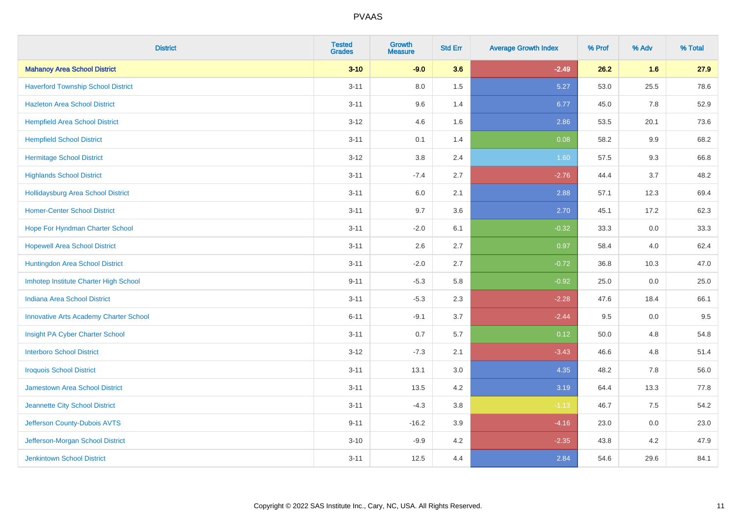| <b>District</b>                               | <b>Tested</b><br><b>Grades</b> | <b>Growth</b><br><b>Measure</b> | <b>Std Err</b> | <b>Average Growth Index</b> | % Prof | % Adv   | % Total |
|-----------------------------------------------|--------------------------------|---------------------------------|----------------|-----------------------------|--------|---------|---------|
| <b>Mahanoy Area School District</b>           | $3 - 10$                       | $-9.0$                          | 3.6            | $-2.49$                     | 26.2   | 1.6     | 27.9    |
| <b>Haverford Township School District</b>     | $3 - 11$                       | 8.0                             | 1.5            | 5.27                        | 53.0   | 25.5    | 78.6    |
| <b>Hazleton Area School District</b>          | $3 - 11$                       | 9.6                             | 1.4            | 6.77                        | 45.0   | 7.8     | 52.9    |
| <b>Hempfield Area School District</b>         | $3 - 12$                       | 4.6                             | 1.6            | 2.86                        | 53.5   | 20.1    | 73.6    |
| <b>Hempfield School District</b>              | $3 - 11$                       | 0.1                             | 1.4            | 0.08                        | 58.2   | 9.9     | 68.2    |
| <b>Hermitage School District</b>              | $3-12$                         | 3.8                             | 2.4            | 1.60                        | 57.5   | 9.3     | 66.8    |
| <b>Highlands School District</b>              | $3 - 11$                       | $-7.4$                          | 2.7            | $-2.76$                     | 44.4   | 3.7     | 48.2    |
| <b>Hollidaysburg Area School District</b>     | $3 - 11$                       | 6.0                             | 2.1            | 2.88                        | 57.1   | 12.3    | 69.4    |
| <b>Homer-Center School District</b>           | $3 - 11$                       | 9.7                             | 3.6            | 2.70                        | 45.1   | 17.2    | 62.3    |
| Hope For Hyndman Charter School               | $3 - 11$                       | $-2.0$                          | 6.1            | $-0.32$                     | 33.3   | $0.0\,$ | 33.3    |
| <b>Hopewell Area School District</b>          | $3 - 11$                       | 2.6                             | 2.7            | 0.97                        | 58.4   | 4.0     | 62.4    |
| <b>Huntingdon Area School District</b>        | $3 - 11$                       | $-2.0$                          | 2.7            | $-0.72$                     | 36.8   | 10.3    | 47.0    |
| Imhotep Institute Charter High School         | $9 - 11$                       | $-5.3$                          | 5.8            | $-0.92$                     | 25.0   | $0.0\,$ | 25.0    |
| Indiana Area School District                  | $3 - 11$                       | $-5.3$                          | 2.3            | $-2.28$                     | 47.6   | 18.4    | 66.1    |
| <b>Innovative Arts Academy Charter School</b> | $6 - 11$                       | $-9.1$                          | 3.7            | $-2.44$                     | 9.5    | 0.0     | 9.5     |
| Insight PA Cyber Charter School               | $3 - 11$                       | 0.7                             | 5.7            | 0.12                        | 50.0   | 4.8     | 54.8    |
| <b>Interboro School District</b>              | $3-12$                         | $-7.3$                          | 2.1            | $-3.43$                     | 46.6   | 4.8     | 51.4    |
| <b>Iroquois School District</b>               | $3 - 11$                       | 13.1                            | 3.0            | 4.35                        | 48.2   | 7.8     | 56.0    |
| <b>Jamestown Area School District</b>         | $3 - 11$                       | 13.5                            | 4.2            | 3.19                        | 64.4   | 13.3    | 77.8    |
| Jeannette City School District                | $3 - 11$                       | $-4.3$                          | $3.8\,$        | $-1.13$                     | 46.7   | 7.5     | 54.2    |
| Jefferson County-Dubois AVTS                  | $9 - 11$                       | $-16.2$                         | 3.9            | $-4.16$                     | 23.0   | 0.0     | 23.0    |
| Jefferson-Morgan School District              | $3 - 10$                       | $-9.9$                          | 4.2            | $-2.35$                     | 43.8   | 4.2     | 47.9    |
| <b>Jenkintown School District</b>             | $3 - 11$                       | 12.5                            | 4.4            | 2.84                        | 54.6   | 29.6    | 84.1    |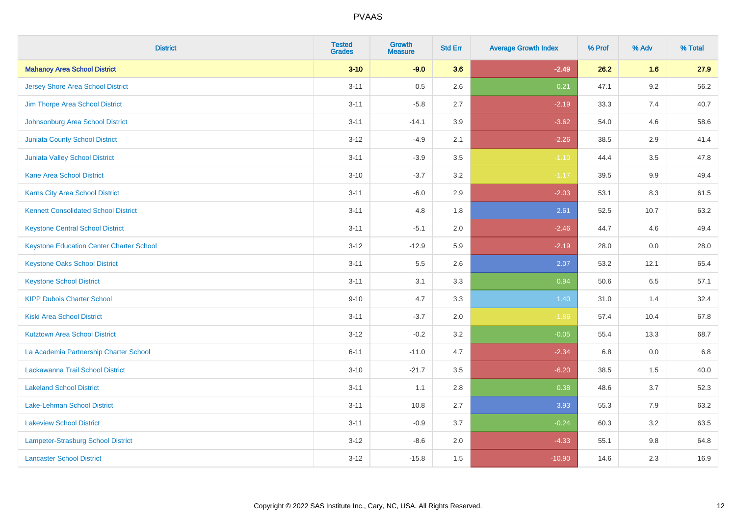| <b>District</b>                                 | <b>Tested</b><br><b>Grades</b> | <b>Growth</b><br><b>Measure</b> | <b>Std Err</b> | <b>Average Growth Index</b> | % Prof | % Adv   | % Total |
|-------------------------------------------------|--------------------------------|---------------------------------|----------------|-----------------------------|--------|---------|---------|
| <b>Mahanoy Area School District</b>             | $3 - 10$                       | $-9.0$                          | 3.6            | $-2.49$                     | 26.2   | 1.6     | 27.9    |
| <b>Jersey Shore Area School District</b>        | $3 - 11$                       | 0.5                             | 2.6            | 0.21                        | 47.1   | $9.2\,$ | 56.2    |
| Jim Thorpe Area School District                 | $3 - 11$                       | $-5.8$                          | 2.7            | $-2.19$                     | 33.3   | 7.4     | 40.7    |
| Johnsonburg Area School District                | $3 - 11$                       | $-14.1$                         | 3.9            | $-3.62$                     | 54.0   | 4.6     | 58.6    |
| <b>Juniata County School District</b>           | $3 - 12$                       | $-4.9$                          | 2.1            | $-2.26$                     | 38.5   | 2.9     | 41.4    |
| Juniata Valley School District                  | $3 - 11$                       | $-3.9$                          | 3.5            | $-1.10$                     | 44.4   | 3.5     | 47.8    |
| <b>Kane Area School District</b>                | $3 - 10$                       | $-3.7$                          | 3.2            | $-1.17$                     | 39.5   | 9.9     | 49.4    |
| <b>Karns City Area School District</b>          | $3 - 11$                       | $-6.0$                          | 2.9            | $-2.03$                     | 53.1   | 8.3     | 61.5    |
| <b>Kennett Consolidated School District</b>     | $3 - 11$                       | 4.8                             | 1.8            | 2.61                        | 52.5   | 10.7    | 63.2    |
| <b>Keystone Central School District</b>         | $3 - 11$                       | $-5.1$                          | 2.0            | $-2.46$                     | 44.7   | 4.6     | 49.4    |
| <b>Keystone Education Center Charter School</b> | $3 - 12$                       | $-12.9$                         | 5.9            | $-2.19$                     | 28.0   | 0.0     | 28.0    |
| <b>Keystone Oaks School District</b>            | $3 - 11$                       | $5.5\,$                         | 2.6            | 2.07                        | 53.2   | 12.1    | 65.4    |
| <b>Keystone School District</b>                 | $3 - 11$                       | 3.1                             | 3.3            | 0.94                        | 50.6   | $6.5\,$ | 57.1    |
| <b>KIPP Dubois Charter School</b>               | $9 - 10$                       | 4.7                             | 3.3            | 1.40                        | 31.0   | 1.4     | 32.4    |
| <b>Kiski Area School District</b>               | $3 - 11$                       | $-3.7$                          | 2.0            | $-1.86$                     | 57.4   | 10.4    | 67.8    |
| <b>Kutztown Area School District</b>            | $3 - 12$                       | $-0.2$                          | 3.2            | $-0.05$                     | 55.4   | 13.3    | 68.7    |
| La Academia Partnership Charter School          | $6 - 11$                       | $-11.0$                         | 4.7            | $-2.34$                     | 6.8    | 0.0     | 6.8     |
| Lackawanna Trail School District                | $3 - 10$                       | $-21.7$                         | 3.5            | $-6.20$                     | 38.5   | 1.5     | 40.0    |
| <b>Lakeland School District</b>                 | $3 - 11$                       | 1.1                             | 2.8            | 0.38                        | 48.6   | 3.7     | 52.3    |
| Lake-Lehman School District                     | $3 - 11$                       | 10.8                            | 2.7            | 3.93                        | 55.3   | 7.9     | 63.2    |
| <b>Lakeview School District</b>                 | $3 - 11$                       | $-0.9$                          | 3.7            | $-0.24$                     | 60.3   | 3.2     | 63.5    |
| <b>Lampeter-Strasburg School District</b>       | $3 - 12$                       | $-8.6$                          | 2.0            | $-4.33$                     | 55.1   | 9.8     | 64.8    |
| <b>Lancaster School District</b>                | $3 - 12$                       | $-15.8$                         | 1.5            | $-10.90$                    | 14.6   | 2.3     | 16.9    |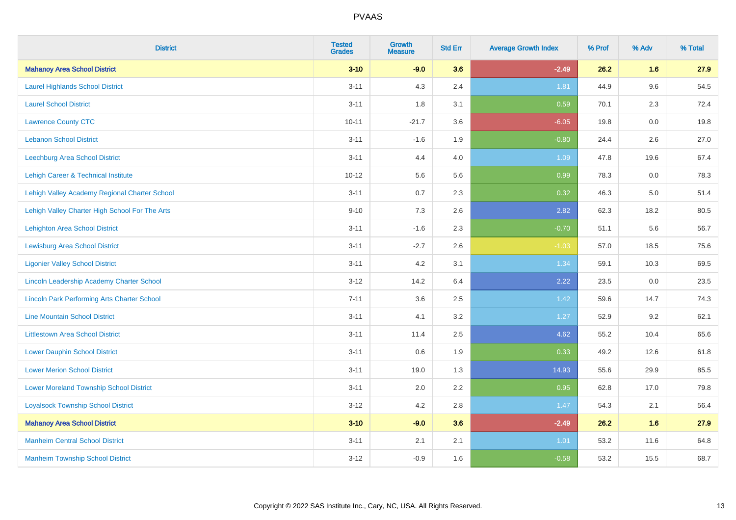| <b>District</b>                                    | <b>Tested</b><br><b>Grades</b> | <b>Growth</b><br><b>Measure</b> | <b>Std Err</b> | <b>Average Growth Index</b> | % Prof | % Adv   | % Total |
|----------------------------------------------------|--------------------------------|---------------------------------|----------------|-----------------------------|--------|---------|---------|
| <b>Mahanoy Area School District</b>                | $3 - 10$                       | $-9.0$                          | 3.6            | $-2.49$                     | 26.2   | 1.6     | 27.9    |
| <b>Laurel Highlands School District</b>            | $3 - 11$                       | 4.3                             | 2.4            | 1.81                        | 44.9   | 9.6     | 54.5    |
| <b>Laurel School District</b>                      | $3 - 11$                       | 1.8                             | 3.1            | 0.59                        | 70.1   | 2.3     | 72.4    |
| <b>Lawrence County CTC</b>                         | $10 - 11$                      | $-21.7$                         | 3.6            | $-6.05$                     | 19.8   | $0.0\,$ | 19.8    |
| <b>Lebanon School District</b>                     | $3 - 11$                       | $-1.6$                          | 1.9            | $-0.80$                     | 24.4   | 2.6     | 27.0    |
| <b>Leechburg Area School District</b>              | $3 - 11$                       | 4.4                             | 4.0            | 1.09                        | 47.8   | 19.6    | 67.4    |
| Lehigh Career & Technical Institute                | $10 - 12$                      | 5.6                             | 5.6            | 0.99                        | 78.3   | 0.0     | 78.3    |
| Lehigh Valley Academy Regional Charter School      | $3 - 11$                       | 0.7                             | 2.3            | 0.32                        | 46.3   | 5.0     | 51.4    |
| Lehigh Valley Charter High School For The Arts     | $9 - 10$                       | 7.3                             | 2.6            | 2.82                        | 62.3   | 18.2    | 80.5    |
| <b>Lehighton Area School District</b>              | $3 - 11$                       | $-1.6$                          | 2.3            | $-0.70$                     | 51.1   | 5.6     | 56.7    |
| <b>Lewisburg Area School District</b>              | $3 - 11$                       | $-2.7$                          | 2.6            | $-1.03$                     | 57.0   | 18.5    | 75.6    |
| <b>Ligonier Valley School District</b>             | $3 - 11$                       | 4.2                             | 3.1            | 1.34                        | 59.1   | 10.3    | 69.5    |
| Lincoln Leadership Academy Charter School          | $3 - 12$                       | 14.2                            | 6.4            | 2.22                        | 23.5   | 0.0     | 23.5    |
| <b>Lincoln Park Performing Arts Charter School</b> | $7 - 11$                       | 3.6                             | 2.5            | 1.42                        | 59.6   | 14.7    | 74.3    |
| <b>Line Mountain School District</b>               | $3 - 11$                       | 4.1                             | 3.2            | 1.27                        | 52.9   | 9.2     | 62.1    |
| <b>Littlestown Area School District</b>            | $3 - 11$                       | 11.4                            | 2.5            | 4.62                        | 55.2   | 10.4    | 65.6    |
| <b>Lower Dauphin School District</b>               | $3 - 11$                       | 0.6                             | 1.9            | 0.33                        | 49.2   | 12.6    | 61.8    |
| <b>Lower Merion School District</b>                | $3 - 11$                       | 19.0                            | 1.3            | 14.93                       | 55.6   | 29.9    | 85.5    |
| <b>Lower Moreland Township School District</b>     | $3 - 11$                       | 2.0                             | 2.2            | 0.95                        | 62.8   | 17.0    | 79.8    |
| <b>Loyalsock Township School District</b>          | $3 - 12$                       | 4.2                             | 2.8            | 1.47                        | 54.3   | 2.1     | 56.4    |
| <b>Mahanoy Area School District</b>                | $3 - 10$                       | $-9.0$                          | 3.6            | $-2.49$                     | 26.2   | 1.6     | 27.9    |
| <b>Manheim Central School District</b>             | $3 - 11$                       | 2.1                             | 2.1            | 1.01                        | 53.2   | 11.6    | 64.8    |
| <b>Manheim Township School District</b>            | $3 - 12$                       | $-0.9$                          | 1.6            | $-0.58$                     | 53.2   | 15.5    | 68.7    |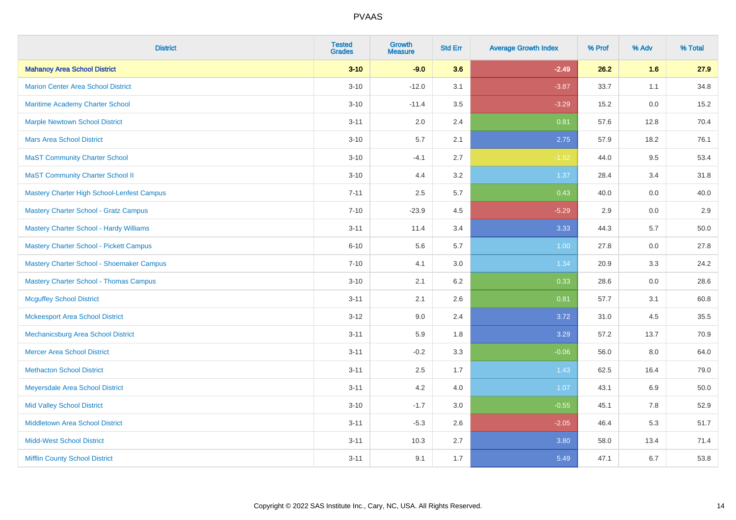| <b>District</b>                                | <b>Tested</b><br><b>Grades</b> | <b>Growth</b><br><b>Measure</b> | <b>Std Err</b> | <b>Average Growth Index</b> | % Prof | % Adv   | % Total |
|------------------------------------------------|--------------------------------|---------------------------------|----------------|-----------------------------|--------|---------|---------|
| <b>Mahanoy Area School District</b>            | $3 - 10$                       | $-9.0$                          | 3.6            | $-2.49$                     | 26.2   | 1.6     | 27.9    |
| <b>Marion Center Area School District</b>      | $3 - 10$                       | $-12.0$                         | 3.1            | $-3.87$                     | 33.7   | 1.1     | 34.8    |
| Maritime Academy Charter School                | $3 - 10$                       | $-11.4$                         | 3.5            | $-3.29$                     | 15.2   | 0.0     | 15.2    |
| <b>Marple Newtown School District</b>          | $3 - 11$                       | 2.0                             | 2.4            | 0.81                        | 57.6   | 12.8    | 70.4    |
| <b>Mars Area School District</b>               | $3 - 10$                       | 5.7                             | 2.1            | 2.75                        | 57.9   | 18.2    | 76.1    |
| <b>MaST Community Charter School</b>           | $3 - 10$                       | $-4.1$                          | 2.7            | $-1.52$                     | 44.0   | 9.5     | 53.4    |
| <b>MaST Community Charter School II</b>        | $3 - 10$                       | 4.4                             | 3.2            | 1.37                        | 28.4   | 3.4     | 31.8    |
| Mastery Charter High School-Lenfest Campus     | $7 - 11$                       | 2.5                             | 5.7            | 0.43                        | 40.0   | 0.0     | 40.0    |
| <b>Mastery Charter School - Gratz Campus</b>   | $7 - 10$                       | $-23.9$                         | 4.5            | $-5.29$                     | 2.9    | 0.0     | 2.9     |
| Mastery Charter School - Hardy Williams        | $3 - 11$                       | 11.4                            | 3.4            | 3.33                        | 44.3   | 5.7     | 50.0    |
| <b>Mastery Charter School - Pickett Campus</b> | $6 - 10$                       | 5.6                             | 5.7            | 1.00                        | 27.8   | 0.0     | 27.8    |
| Mastery Charter School - Shoemaker Campus      | $7 - 10$                       | 4.1                             | 3.0            | 1.34                        | 20.9   | 3.3     | 24.2    |
| <b>Mastery Charter School - Thomas Campus</b>  | $3 - 10$                       | 2.1                             | 6.2            | 0.33                        | 28.6   | $0.0\,$ | 28.6    |
| <b>Mcguffey School District</b>                | $3 - 11$                       | 2.1                             | 2.6            | 0.81                        | 57.7   | 3.1     | 60.8    |
| <b>Mckeesport Area School District</b>         | $3 - 12$                       | 9.0                             | 2.4            | 3.72                        | 31.0   | 4.5     | 35.5    |
| Mechanicsburg Area School District             | $3 - 11$                       | 5.9                             | 1.8            | 3.29                        | 57.2   | 13.7    | 70.9    |
| <b>Mercer Area School District</b>             | $3 - 11$                       | $-0.2$                          | 3.3            | $-0.06$                     | 56.0   | $8.0\,$ | 64.0    |
| <b>Methacton School District</b>               | $3 - 11$                       | 2.5                             | 1.7            | 1.43                        | 62.5   | 16.4    | 79.0    |
| Meyersdale Area School District                | $3 - 11$                       | 4.2                             | 4.0            | 1.07                        | 43.1   | 6.9     | 50.0    |
| <b>Mid Valley School District</b>              | $3 - 10$                       | $-1.7$                          | 3.0            | $-0.55$                     | 45.1   | 7.8     | 52.9    |
| <b>Middletown Area School District</b>         | $3 - 11$                       | $-5.3$                          | 2.6            | $-2.05$                     | 46.4   | 5.3     | 51.7    |
| <b>Midd-West School District</b>               | $3 - 11$                       | 10.3                            | 2.7            | 3.80                        | 58.0   | 13.4    | 71.4    |
| <b>Mifflin County School District</b>          | $3 - 11$                       | 9.1                             | 1.7            | 5.49                        | 47.1   | 6.7     | 53.8    |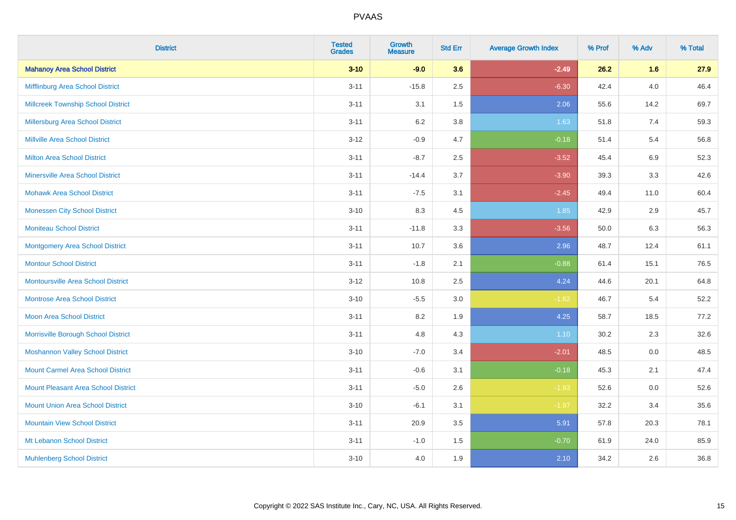| <b>District</b>                            | <b>Tested</b><br><b>Grades</b> | <b>Growth</b><br><b>Measure</b> | <b>Std Err</b> | <b>Average Growth Index</b> | % Prof | % Adv   | % Total |
|--------------------------------------------|--------------------------------|---------------------------------|----------------|-----------------------------|--------|---------|---------|
| <b>Mahanoy Area School District</b>        | $3 - 10$                       | $-9.0$                          | 3.6            | $-2.49$                     | 26.2   | 1.6     | 27.9    |
| Mifflinburg Area School District           | $3 - 11$                       | $-15.8$                         | 2.5            | $-6.30$                     | 42.4   | $4.0\,$ | 46.4    |
| <b>Millcreek Township School District</b>  | $3 - 11$                       | 3.1                             | 1.5            | 2.06                        | 55.6   | 14.2    | 69.7    |
| <b>Millersburg Area School District</b>    | $3 - 11$                       | 6.2                             | 3.8            | 1.63                        | 51.8   | 7.4     | 59.3    |
| <b>Millville Area School District</b>      | $3 - 12$                       | $-0.9$                          | 4.7            | $-0.18$                     | 51.4   | 5.4     | 56.8    |
| <b>Milton Area School District</b>         | $3 - 11$                       | $-8.7$                          | 2.5            | $-3.52$                     | 45.4   | $6.9\,$ | 52.3    |
| <b>Minersville Area School District</b>    | $3 - 11$                       | $-14.4$                         | 3.7            | $-3.90$                     | 39.3   | 3.3     | 42.6    |
| <b>Mohawk Area School District</b>         | $3 - 11$                       | $-7.5$                          | 3.1            | $-2.45$                     | 49.4   | 11.0    | 60.4    |
| <b>Monessen City School District</b>       | $3 - 10$                       | 8.3                             | 4.5            | 1.85                        | 42.9   | 2.9     | 45.7    |
| <b>Moniteau School District</b>            | $3 - 11$                       | $-11.8$                         | 3.3            | $-3.56$                     | 50.0   | 6.3     | 56.3    |
| <b>Montgomery Area School District</b>     | $3 - 11$                       | 10.7                            | 3.6            | 2.96                        | 48.7   | 12.4    | 61.1    |
| <b>Montour School District</b>             | $3 - 11$                       | $-1.8$                          | 2.1            | $-0.88$                     | 61.4   | 15.1    | 76.5    |
| <b>Montoursville Area School District</b>  | $3 - 12$                       | 10.8                            | 2.5            | 4.24                        | 44.6   | 20.1    | 64.8    |
| <b>Montrose Area School District</b>       | $3 - 10$                       | $-5.5$                          | 3.0            | $-1.82$                     | 46.7   | 5.4     | 52.2    |
| Moon Area School District                  | $3 - 11$                       | 8.2                             | 1.9            | 4.25                        | 58.7   | 18.5    | 77.2    |
| Morrisville Borough School District        | $3 - 11$                       | 4.8                             | 4.3            | 1.10                        | 30.2   | 2.3     | 32.6    |
| <b>Moshannon Valley School District</b>    | $3 - 10$                       | $-7.0$                          | 3.4            | $-2.01$                     | 48.5   | 0.0     | 48.5    |
| <b>Mount Carmel Area School District</b>   | $3 - 11$                       | $-0.6$                          | 3.1            | $-0.18$                     | 45.3   | 2.1     | 47.4    |
| <b>Mount Pleasant Area School District</b> | $3 - 11$                       | $-5.0$                          | 2.6            | $-1.93$                     | 52.6   | 0.0     | 52.6    |
| <b>Mount Union Area School District</b>    | $3 - 10$                       | $-6.1$                          | 3.1            | $-1.97$                     | 32.2   | 3.4     | 35.6    |
| <b>Mountain View School District</b>       | $3 - 11$                       | 20.9                            | 3.5            | 5.91                        | 57.8   | 20.3    | 78.1    |
| Mt Lebanon School District                 | $3 - 11$                       | $-1.0$                          | 1.5            | $-0.70$                     | 61.9   | 24.0    | 85.9    |
| <b>Muhlenberg School District</b>          | $3 - 10$                       | 4.0                             | 1.9            | 2.10                        | 34.2   | 2.6     | 36.8    |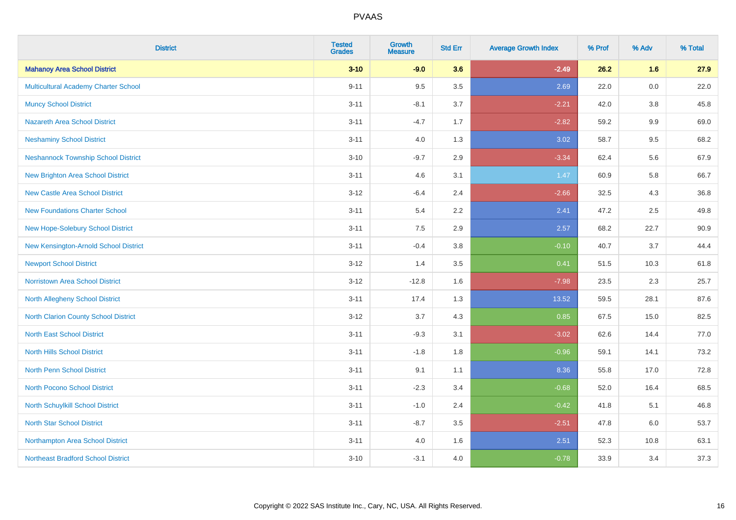| <b>District</b>                            | <b>Tested</b><br><b>Grades</b> | <b>Growth</b><br><b>Measure</b> | <b>Std Err</b> | <b>Average Growth Index</b> | % Prof | % Adv   | % Total |
|--------------------------------------------|--------------------------------|---------------------------------|----------------|-----------------------------|--------|---------|---------|
| <b>Mahanoy Area School District</b>        | $3 - 10$                       | $-9.0$                          | 3.6            | $-2.49$                     | 26.2   | 1.6     | 27.9    |
| Multicultural Academy Charter School       | $9 - 11$                       | 9.5                             | 3.5            | 2.69                        | 22.0   | $0.0\,$ | 22.0    |
| <b>Muncy School District</b>               | $3 - 11$                       | $-8.1$                          | 3.7            | $-2.21$                     | 42.0   | 3.8     | 45.8    |
| <b>Nazareth Area School District</b>       | $3 - 11$                       | $-4.7$                          | 1.7            | $-2.82$                     | 59.2   | $9.9\,$ | 69.0    |
| <b>Neshaminy School District</b>           | $3 - 11$                       | 4.0                             | 1.3            | 3.02                        | 58.7   | 9.5     | 68.2    |
| <b>Neshannock Township School District</b> | $3 - 10$                       | $-9.7$                          | 2.9            | $-3.34$                     | 62.4   | 5.6     | 67.9    |
| <b>New Brighton Area School District</b>   | $3 - 11$                       | 4.6                             | 3.1            | 1.47                        | 60.9   | 5.8     | 66.7    |
| <b>New Castle Area School District</b>     | $3 - 12$                       | $-6.4$                          | 2.4            | $-2.66$                     | 32.5   | 4.3     | 36.8    |
| <b>New Foundations Charter School</b>      | $3 - 11$                       | 5.4                             | 2.2            | 2.41                        | 47.2   | 2.5     | 49.8    |
| New Hope-Solebury School District          | $3 - 11$                       | 7.5                             | 2.9            | 2.57                        | 68.2   | 22.7    | 90.9    |
| New Kensington-Arnold School District      | $3 - 11$                       | $-0.4$                          | 3.8            | $-0.10$                     | 40.7   | 3.7     | 44.4    |
| <b>Newport School District</b>             | $3 - 12$                       | 1.4                             | 3.5            | 0.41                        | 51.5   | 10.3    | 61.8    |
| Norristown Area School District            | $3 - 12$                       | $-12.8$                         | 1.6            | $-7.98$                     | 23.5   | $2.3\,$ | 25.7    |
| North Allegheny School District            | $3 - 11$                       | 17.4                            | 1.3            | 13.52                       | 59.5   | 28.1    | 87.6    |
| North Clarion County School District       | $3 - 12$                       | 3.7                             | 4.3            | 0.85                        | 67.5   | 15.0    | 82.5    |
| <b>North East School District</b>          | $3 - 11$                       | $-9.3$                          | 3.1            | $-3.02$                     | 62.6   | 14.4    | 77.0    |
| <b>North Hills School District</b>         | $3 - 11$                       | $-1.8$                          | 1.8            | $-0.96$                     | 59.1   | 14.1    | 73.2    |
| North Penn School District                 | $3 - 11$                       | 9.1                             | 1.1            | 8.36                        | 55.8   | 17.0    | 72.8    |
| <b>North Pocono School District</b>        | $3 - 11$                       | $-2.3$                          | 3.4            | $-0.68$                     | 52.0   | 16.4    | 68.5    |
| North Schuylkill School District           | $3 - 11$                       | $-1.0$                          | 2.4            | $-0.42$                     | 41.8   | 5.1     | 46.8    |
| <b>North Star School District</b>          | $3 - 11$                       | $-8.7$                          | 3.5            | $-2.51$                     | 47.8   | 6.0     | 53.7    |
| Northampton Area School District           | $3 - 11$                       | 4.0                             | 1.6            | 2.51                        | 52.3   | 10.8    | 63.1    |
| <b>Northeast Bradford School District</b>  | $3 - 10$                       | $-3.1$                          | 4.0            | $-0.78$                     | 33.9   | 3.4     | 37.3    |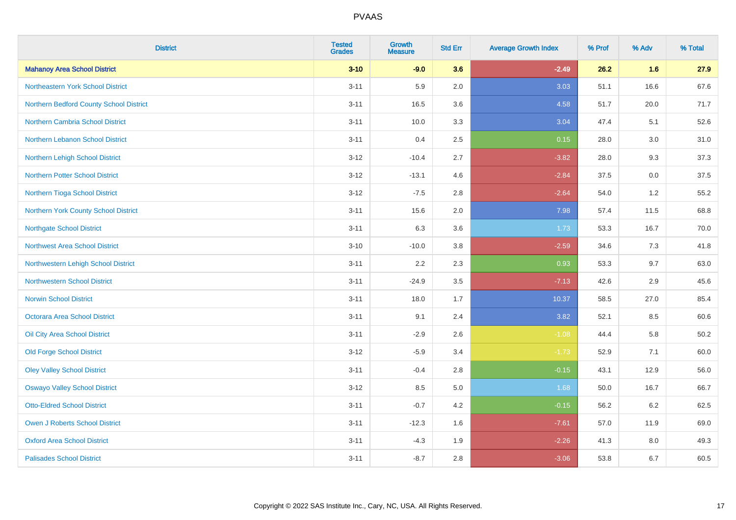| <b>District</b>                         | <b>Tested</b><br><b>Grades</b> | <b>Growth</b><br><b>Measure</b> | <b>Std Err</b> | <b>Average Growth Index</b> | % Prof | % Adv | % Total  |
|-----------------------------------------|--------------------------------|---------------------------------|----------------|-----------------------------|--------|-------|----------|
| <b>Mahanoy Area School District</b>     | $3 - 10$                       | $-9.0$                          | 3.6            | $-2.49$                     | 26.2   | 1.6   | 27.9     |
| Northeastern York School District       | $3 - 11$                       | 5.9                             | 2.0            | 3.03                        | 51.1   | 16.6  | 67.6     |
| Northern Bedford County School District | $3 - 11$                       | 16.5                            | 3.6            | 4.58                        | 51.7   | 20.0  | 71.7     |
| <b>Northern Cambria School District</b> | $3 - 11$                       | 10.0                            | 3.3            | 3.04                        | 47.4   | 5.1   | 52.6     |
| Northern Lebanon School District        | $3 - 11$                       | 0.4                             | 2.5            | 0.15                        | 28.0   | 3.0   | 31.0     |
| Northern Lehigh School District         | $3 - 12$                       | $-10.4$                         | 2.7            | $-3.82$                     | 28.0   | 9.3   | 37.3     |
| <b>Northern Potter School District</b>  | $3 - 12$                       | $-13.1$                         | 4.6            | $-2.84$                     | 37.5   | 0.0   | 37.5     |
| Northern Tioga School District          | $3 - 12$                       | $-7.5$                          | 2.8            | $-2.64$                     | 54.0   | 1.2   | 55.2     |
| Northern York County School District    | $3 - 11$                       | 15.6                            | 2.0            | 7.98                        | 57.4   | 11.5  | 68.8     |
| <b>Northgate School District</b>        | $3 - 11$                       | 6.3                             | 3.6            | 1.73                        | 53.3   | 16.7  | 70.0     |
| <b>Northwest Area School District</b>   | $3 - 10$                       | $-10.0$                         | $3.8\,$        | $-2.59$                     | 34.6   | 7.3   | 41.8     |
| Northwestern Lehigh School District     | $3 - 11$                       | 2.2                             | 2.3            | 0.93                        | 53.3   | 9.7   | 63.0     |
| <b>Northwestern School District</b>     | $3 - 11$                       | $-24.9$                         | 3.5            | $-7.13$                     | 42.6   | 2.9   | 45.6     |
| <b>Norwin School District</b>           | $3 - 11$                       | 18.0                            | 1.7            | 10.37                       | 58.5   | 27.0  | 85.4     |
| Octorara Area School District           | $3 - 11$                       | 9.1                             | 2.4            | 3.82                        | 52.1   | 8.5   | 60.6     |
| Oil City Area School District           | $3 - 11$                       | $-2.9$                          | 2.6            | $-1.08$                     | 44.4   | 5.8   | $50.2\,$ |
| <b>Old Forge School District</b>        | $3 - 12$                       | $-5.9$                          | 3.4            | $-1.73$                     | 52.9   | 7.1   | 60.0     |
| <b>Oley Valley School District</b>      | $3 - 11$                       | $-0.4$                          | 2.8            | $-0.15$                     | 43.1   | 12.9  | 56.0     |
| <b>Oswayo Valley School District</b>    | $3 - 12$                       | 8.5                             | $5.0\,$        | 1.68                        | 50.0   | 16.7  | 66.7     |
| <b>Otto-Eldred School District</b>      | $3 - 11$                       | $-0.7$                          | 4.2            | $-0.15$                     | 56.2   | 6.2   | 62.5     |
| <b>Owen J Roberts School District</b>   | $3 - 11$                       | $-12.3$                         | 1.6            | $-7.61$                     | 57.0   | 11.9  | 69.0     |
| <b>Oxford Area School District</b>      | $3 - 11$                       | $-4.3$                          | 1.9            | $-2.26$                     | 41.3   | 8.0   | 49.3     |
| <b>Palisades School District</b>        | $3 - 11$                       | $-8.7$                          | 2.8            | $-3.06$                     | 53.8   | 6.7   | 60.5     |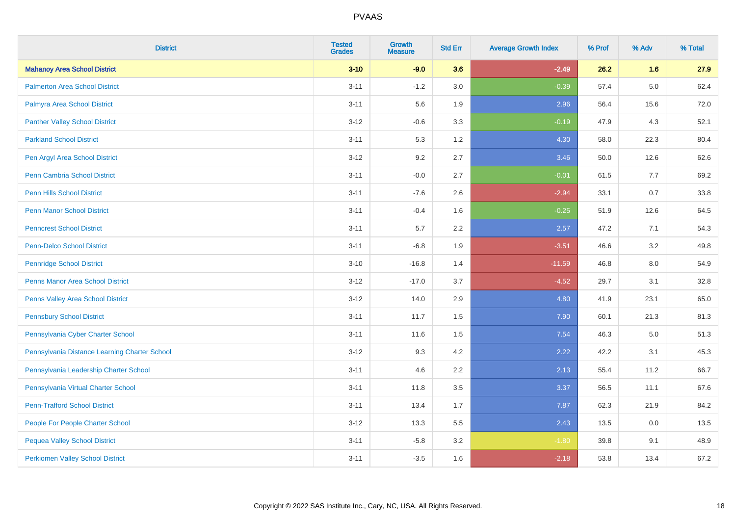| <b>District</b>                               | <b>Tested</b><br><b>Grades</b> | <b>Growth</b><br><b>Measure</b> | <b>Std Err</b> | <b>Average Growth Index</b> | % Prof | % Adv   | % Total |
|-----------------------------------------------|--------------------------------|---------------------------------|----------------|-----------------------------|--------|---------|---------|
| <b>Mahanoy Area School District</b>           | $3 - 10$                       | $-9.0$                          | 3.6            | $-2.49$                     | 26.2   | 1.6     | 27.9    |
| <b>Palmerton Area School District</b>         | $3 - 11$                       | $-1.2$                          | 3.0            | $-0.39$                     | 57.4   | $5.0\,$ | 62.4    |
| Palmyra Area School District                  | $3 - 11$                       | 5.6                             | 1.9            | 2.96                        | 56.4   | 15.6    | 72.0    |
| <b>Panther Valley School District</b>         | $3 - 12$                       | $-0.6$                          | 3.3            | $-0.19$                     | 47.9   | 4.3     | 52.1    |
| <b>Parkland School District</b>               | $3 - 11$                       | 5.3                             | 1.2            | 4.30                        | 58.0   | 22.3    | 80.4    |
| Pen Argyl Area School District                | $3 - 12$                       | 9.2                             | 2.7            | 3.46                        | 50.0   | 12.6    | 62.6    |
| <b>Penn Cambria School District</b>           | $3 - 11$                       | $-0.0$                          | 2.7            | $-0.01$                     | 61.5   | 7.7     | 69.2    |
| <b>Penn Hills School District</b>             | $3 - 11$                       | $-7.6$                          | 2.6            | $-2.94$                     | 33.1   | 0.7     | 33.8    |
| <b>Penn Manor School District</b>             | $3 - 11$                       | $-0.4$                          | 1.6            | $-0.25$                     | 51.9   | 12.6    | 64.5    |
| <b>Penncrest School District</b>              | $3 - 11$                       | $5.7\,$                         | 2.2            | 2.57                        | 47.2   | 7.1     | 54.3    |
| <b>Penn-Delco School District</b>             | $3 - 11$                       | $-6.8$                          | 1.9            | $-3.51$                     | 46.6   | 3.2     | 49.8    |
| <b>Pennridge School District</b>              | $3 - 10$                       | $-16.8$                         | 1.4            | $-11.59$                    | 46.8   | 8.0     | 54.9    |
| Penns Manor Area School District              | $3 - 12$                       | $-17.0$                         | 3.7            | $-4.52$                     | 29.7   | 3.1     | 32.8    |
| Penns Valley Area School District             | $3 - 12$                       | 14.0                            | 2.9            | 4.80                        | 41.9   | 23.1    | 65.0    |
| <b>Pennsbury School District</b>              | $3 - 11$                       | 11.7                            | 1.5            | 7.90                        | 60.1   | 21.3    | 81.3    |
| Pennsylvania Cyber Charter School             | $3 - 11$                       | 11.6                            | 1.5            | 7.54                        | 46.3   | $5.0\,$ | 51.3    |
| Pennsylvania Distance Learning Charter School | $3 - 12$                       | 9.3                             | 4.2            | 2.22                        | 42.2   | 3.1     | 45.3    |
| Pennsylvania Leadership Charter School        | $3 - 11$                       | 4.6                             | 2.2            | 2.13                        | 55.4   | 11.2    | 66.7    |
| Pennsylvania Virtual Charter School           | $3 - 11$                       | 11.8                            | 3.5            | 3.37                        | 56.5   | 11.1    | 67.6    |
| <b>Penn-Trafford School District</b>          | $3 - 11$                       | 13.4                            | 1.7            | 7.87                        | 62.3   | 21.9    | 84.2    |
| People For People Charter School              | $3 - 12$                       | 13.3                            | 5.5            | 2.43                        | 13.5   | 0.0     | 13.5    |
| <b>Pequea Valley School District</b>          | $3 - 11$                       | $-5.8$                          | 3.2            | $-1.80$                     | 39.8   | 9.1     | 48.9    |
| <b>Perkiomen Valley School District</b>       | $3 - 11$                       | $-3.5$                          | 1.6            | $-2.18$                     | 53.8   | 13.4    | 67.2    |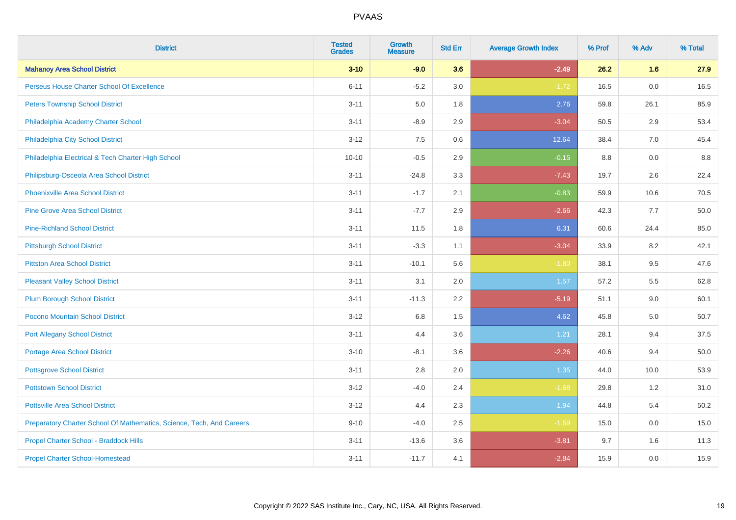| <b>District</b>                                                       | <b>Tested</b><br><b>Grades</b> | <b>Growth</b><br><b>Measure</b> | <b>Std Err</b> | <b>Average Growth Index</b> | % Prof | % Adv | % Total |
|-----------------------------------------------------------------------|--------------------------------|---------------------------------|----------------|-----------------------------|--------|-------|---------|
| <b>Mahanoy Area School District</b>                                   | $3 - 10$                       | $-9.0$                          | 3.6            | $-2.49$                     | 26.2   | 1.6   | 27.9    |
| Perseus House Charter School Of Excellence                            | $6 - 11$                       | $-5.2$                          | 3.0            | $-1.72$                     | 16.5   | 0.0   | 16.5    |
| <b>Peters Township School District</b>                                | $3 - 11$                       | 5.0                             | 1.8            | 2.76                        | 59.8   | 26.1  | 85.9    |
| Philadelphia Academy Charter School                                   | $3 - 11$                       | $-8.9$                          | 2.9            | $-3.04$                     | 50.5   | 2.9   | 53.4    |
| Philadelphia City School District                                     | $3 - 12$                       | 7.5                             | 0.6            | 12.64                       | 38.4   | 7.0   | 45.4    |
| Philadelphia Electrical & Tech Charter High School                    | $10 - 10$                      | $-0.5$                          | 2.9            | $-0.15$                     | 8.8    | 0.0   | 8.8     |
| Philipsburg-Osceola Area School District                              | $3 - 11$                       | $-24.8$                         | 3.3            | $-7.43$                     | 19.7   | 2.6   | 22.4    |
| <b>Phoenixville Area School District</b>                              | $3 - 11$                       | $-1.7$                          | 2.1            | $-0.83$                     | 59.9   | 10.6  | 70.5    |
| <b>Pine Grove Area School District</b>                                | $3 - 11$                       | $-7.7$                          | 2.9            | $-2.66$                     | 42.3   | 7.7   | 50.0    |
| <b>Pine-Richland School District</b>                                  | $3 - 11$                       | 11.5                            | 1.8            | 6.31                        | 60.6   | 24.4  | 85.0    |
| <b>Pittsburgh School District</b>                                     | $3 - 11$                       | $-3.3$                          | 1.1            | $-3.04$                     | 33.9   | 8.2   | 42.1    |
| <b>Pittston Area School District</b>                                  | $3 - 11$                       | $-10.1$                         | 5.6            | $-1.80$                     | 38.1   | 9.5   | 47.6    |
| <b>Pleasant Valley School District</b>                                | $3 - 11$                       | 3.1                             | 2.0            | 1.57                        | 57.2   | 5.5   | 62.8    |
| <b>Plum Borough School District</b>                                   | $3 - 11$                       | $-11.3$                         | 2.2            | $-5.19$                     | 51.1   | 9.0   | 60.1    |
| Pocono Mountain School District                                       | $3 - 12$                       | $6.8\,$                         | 1.5            | 4.62                        | 45.8   | 5.0   | 50.7    |
| <b>Port Allegany School District</b>                                  | $3 - 11$                       | 4.4                             | 3.6            | 1.21                        | 28.1   | 9.4   | 37.5    |
| <b>Portage Area School District</b>                                   | $3 - 10$                       | $-8.1$                          | 3.6            | $-2.26$                     | 40.6   | 9.4   | 50.0    |
| <b>Pottsgrove School District</b>                                     | $3 - 11$                       | 2.8                             | 2.0            | 1.35                        | 44.0   | 10.0  | 53.9    |
| <b>Pottstown School District</b>                                      | $3 - 12$                       | $-4.0$                          | 2.4            | $-1.68$                     | 29.8   | 1.2   | 31.0    |
| <b>Pottsville Area School District</b>                                | $3 - 12$                       | 4.4                             | 2.3            | 1.94                        | 44.8   | 5.4   | 50.2    |
| Preparatory Charter School Of Mathematics, Science, Tech, And Careers | $9 - 10$                       | $-4.0$                          | 2.5            | $-1.59$                     | 15.0   | 0.0   | 15.0    |
| Propel Charter School - Braddock Hills                                | $3 - 11$                       | $-13.6$                         | 3.6            | $-3.81$                     | 9.7    | 1.6   | 11.3    |
| <b>Propel Charter School-Homestead</b>                                | $3 - 11$                       | $-11.7$                         | 4.1            | $-2.84$                     | 15.9   | 0.0   | 15.9    |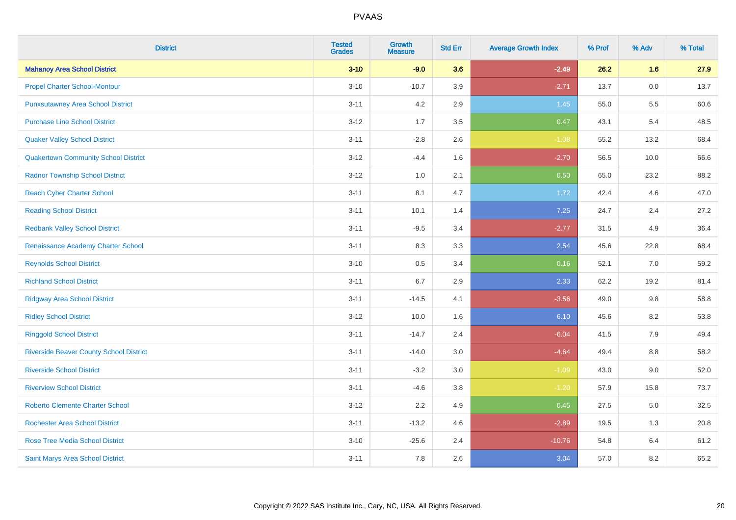| <b>District</b>                                | <b>Tested</b><br><b>Grades</b> | <b>Growth</b><br><b>Measure</b> | <b>Std Err</b> | <b>Average Growth Index</b> | % Prof | % Adv   | % Total |
|------------------------------------------------|--------------------------------|---------------------------------|----------------|-----------------------------|--------|---------|---------|
| <b>Mahanoy Area School District</b>            | $3 - 10$                       | $-9.0$                          | 3.6            | $-2.49$                     | 26.2   | 1.6     | 27.9    |
| <b>Propel Charter School-Montour</b>           | $3 - 10$                       | $-10.7$                         | 3.9            | $-2.71$                     | 13.7   | $0.0\,$ | 13.7    |
| <b>Punxsutawney Area School District</b>       | $3 - 11$                       | 4.2                             | 2.9            | 1.45                        | 55.0   | 5.5     | 60.6    |
| <b>Purchase Line School District</b>           | $3 - 12$                       | 1.7                             | 3.5            | 0.47                        | 43.1   | 5.4     | 48.5    |
| <b>Quaker Valley School District</b>           | $3 - 11$                       | $-2.8$                          | 2.6            | $-1.08$                     | 55.2   | 13.2    | 68.4    |
| <b>Quakertown Community School District</b>    | $3 - 12$                       | $-4.4$                          | 1.6            | $-2.70$                     | 56.5   | 10.0    | 66.6    |
| <b>Radnor Township School District</b>         | $3 - 12$                       | 1.0                             | 2.1            | 0.50                        | 65.0   | 23.2    | 88.2    |
| <b>Reach Cyber Charter School</b>              | $3 - 11$                       | 8.1                             | 4.7            | 1.72                        | 42.4   | 4.6     | 47.0    |
| <b>Reading School District</b>                 | $3 - 11$                       | 10.1                            | 1.4            | 7.25                        | 24.7   | 2.4     | 27.2    |
| <b>Redbank Valley School District</b>          | $3 - 11$                       | $-9.5$                          | 3.4            | $-2.77$                     | 31.5   | 4.9     | 36.4    |
| Renaissance Academy Charter School             | $3 - 11$                       | 8.3                             | 3.3            | 2.54                        | 45.6   | 22.8    | 68.4    |
| <b>Reynolds School District</b>                | $3 - 10$                       | 0.5                             | 3.4            | 0.16                        | 52.1   | 7.0     | 59.2    |
| <b>Richland School District</b>                | $3 - 11$                       | 6.7                             | 2.9            | 2.33                        | 62.2   | 19.2    | 81.4    |
| <b>Ridgway Area School District</b>            | $3 - 11$                       | $-14.5$                         | 4.1            | $-3.56$                     | 49.0   | 9.8     | 58.8    |
| <b>Ridley School District</b>                  | $3 - 12$                       | 10.0                            | 1.6            | 6.10                        | 45.6   | 8.2     | 53.8    |
| <b>Ringgold School District</b>                | $3 - 11$                       | $-14.7$                         | 2.4            | $-6.04$                     | 41.5   | 7.9     | 49.4    |
| <b>Riverside Beaver County School District</b> | $3 - 11$                       | $-14.0$                         | 3.0            | $-4.64$                     | 49.4   | 8.8     | 58.2    |
| <b>Riverside School District</b>               | $3 - 11$                       | $-3.2$                          | 3.0            | $-1.09$                     | 43.0   | 9.0     | 52.0    |
| <b>Riverview School District</b>               | $3 - 11$                       | $-4.6$                          | 3.8            | $-1.20$                     | 57.9   | 15.8    | 73.7    |
| <b>Roberto Clemente Charter School</b>         | $3 - 12$                       | 2.2                             | 4.9            | 0.45                        | 27.5   | 5.0     | 32.5    |
| <b>Rochester Area School District</b>          | $3 - 11$                       | $-13.2$                         | 4.6            | $-2.89$                     | 19.5   | 1.3     | 20.8    |
| <b>Rose Tree Media School District</b>         | $3 - 10$                       | $-25.6$                         | 2.4            | $-10.76$                    | 54.8   | 6.4     | 61.2    |
| <b>Saint Marys Area School District</b>        | $3 - 11$                       | 7.8                             | 2.6            | 3.04                        | 57.0   | 8.2     | 65.2    |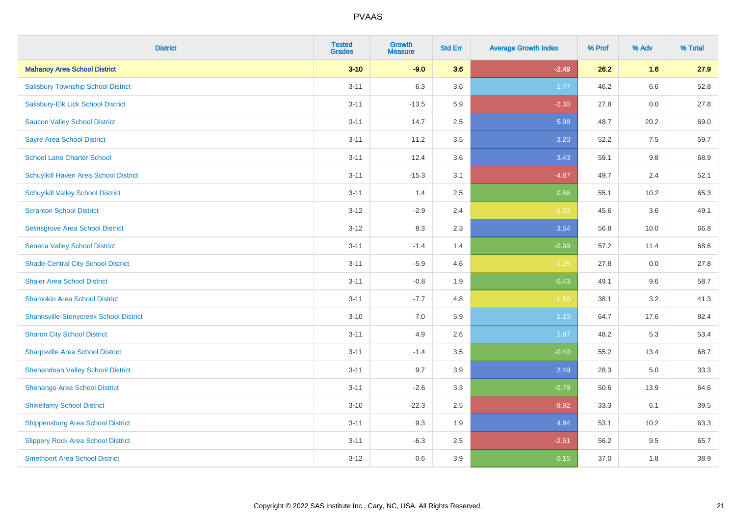| <b>District</b>                               | <b>Tested</b><br><b>Grades</b> | <b>Growth</b><br><b>Measure</b> | <b>Std Err</b> | <b>Average Growth Index</b> | % Prof | % Adv | % Total |
|-----------------------------------------------|--------------------------------|---------------------------------|----------------|-----------------------------|--------|-------|---------|
| <b>Mahanoy Area School District</b>           | $3 - 10$                       | $-9.0$                          | 3.6            | $-2.49$                     | 26.2   | 1.6   | 27.9    |
| <b>Salisbury Township School District</b>     | $3 - 11$                       | 6.3                             | 3.6            | 1.77                        | 46.2   | 6.6   | 52.8    |
| Salisbury-Elk Lick School District            | $3 - 11$                       | $-13.5$                         | 5.9            | $-2.30$                     | 27.8   | 0.0   | 27.8    |
| <b>Saucon Valley School District</b>          | $3 - 11$                       | 14.7                            | 2.5            | 5.98                        | 48.7   | 20.2  | 69.0    |
| <b>Sayre Area School District</b>             | $3 - 11$                       | 11.2                            | 3.5            | 3.20                        | 52.2   | 7.5   | 59.7    |
| <b>School Lane Charter School</b>             | $3 - 11$                       | 12.4                            | 3.6            | 3.43                        | 59.1   | 9.8   | 68.9    |
| Schuylkill Haven Area School District         | $3 - 11$                       | $-15.3$                         | 3.1            | $-4.87$                     | 49.7   | 2.4   | 52.1    |
| <b>Schuylkill Valley School District</b>      | $3 - 11$                       | 1.4                             | 2.5            | 0.56                        | 55.1   | 10.2  | 65.3    |
| <b>Scranton School District</b>               | $3 - 12$                       | $-2.9$                          | 2.4            | $-1.22$                     | 45.6   | 3.6   | 49.1    |
| Selinsgrove Area School District              | $3 - 12$                       | 8.3                             | 2.3            | 3.54                        | 56.8   | 10.0  | 66.8    |
| <b>Seneca Valley School District</b>          | $3 - 11$                       | $-1.4$                          | 1.4            | $-0.99$                     | 57.2   | 11.4  | 68.6    |
| <b>Shade-Central City School District</b>     | $3 - 11$                       | $-5.9$                          | 4.6            | $-1.28$                     | 27.8   | 0.0   | 27.8    |
| <b>Shaler Area School District</b>            | $3 - 11$                       | $-0.8$                          | 1.9            | $-0.43$                     | 49.1   | 9.6   | 58.7    |
| <b>Shamokin Area School District</b>          | $3 - 11$                       | $-7.7$                          | 4.8            | $-1.60$                     | 38.1   | 3.2   | 41.3    |
| <b>Shanksville-Stonycreek School District</b> | $3 - 10$                       | $7.0\,$                         | 5.9            | 1.20                        | 64.7   | 17.6  | 82.4    |
| <b>Sharon City School District</b>            | $3 - 11$                       | 4.9                             | 2.6            | 1.87                        | 48.2   | 5.3   | 53.4    |
| <b>Sharpsville Area School District</b>       | $3 - 11$                       | $-1.4$                          | 3.5            | $-0.40$                     | 55.2   | 13.4  | 68.7    |
| <b>Shenandoah Valley School District</b>      | $3 - 11$                       | 9.7                             | 3.9            | 2.49                        | 28.3   | 5.0   | 33.3    |
| Shenango Area School District                 | $3 - 11$                       | $-2.6$                          | 3.3            | $-0.79$                     | 50.6   | 13.9  | 64.6    |
| <b>Shikellamy School District</b>             | $3 - 10$                       | $-22.3$                         | 2.5            | $-8.92$                     | 33.3   | 6.1   | 39.5    |
| Shippensburg Area School District             | $3 - 11$                       | 9.3                             | 1.9            | 4.84                        | 53.1   | 10.2  | 63.3    |
| <b>Slippery Rock Area School District</b>     | $3 - 11$                       | $-6.3$                          | 2.5            | $-2.51$                     | 56.2   | 9.5   | 65.7    |
| <b>Smethport Area School District</b>         | $3-12$                         | 0.6                             | 3.9            | 0.15                        | 37.0   | 1.8   | 38.9    |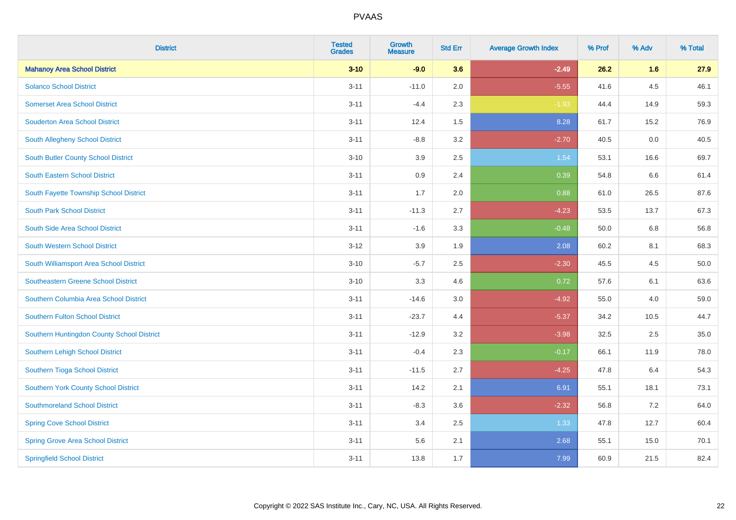| <b>District</b>                            | <b>Tested</b><br><b>Grades</b> | <b>Growth</b><br><b>Measure</b> | <b>Std Err</b> | <b>Average Growth Index</b> | % Prof | % Adv | % Total |
|--------------------------------------------|--------------------------------|---------------------------------|----------------|-----------------------------|--------|-------|---------|
| <b>Mahanoy Area School District</b>        | $3 - 10$                       | $-9.0$                          | 3.6            | $-2.49$                     | 26.2   | 1.6   | 27.9    |
| <b>Solanco School District</b>             | $3 - 11$                       | $-11.0$                         | 2.0            | $-5.55$                     | 41.6   | 4.5   | 46.1    |
| <b>Somerset Area School District</b>       | $3 - 11$                       | $-4.4$                          | 2.3            | $-1.93$                     | 44.4   | 14.9  | 59.3    |
| <b>Souderton Area School District</b>      | $3 - 11$                       | 12.4                            | 1.5            | 8.28                        | 61.7   | 15.2  | 76.9    |
| South Allegheny School District            | $3 - 11$                       | $-8.8$                          | 3.2            | $-2.70$                     | 40.5   | 0.0   | 40.5    |
| South Butler County School District        | $3 - 10$                       | 3.9                             | 2.5            | 1.54                        | 53.1   | 16.6  | 69.7    |
| <b>South Eastern School District</b>       | $3 - 11$                       | 0.9                             | 2.4            | 0.39                        | 54.8   | 6.6   | 61.4    |
| South Fayette Township School District     | $3 - 11$                       | 1.7                             | 2.0            | 0.88                        | 61.0   | 26.5  | 87.6    |
| <b>South Park School District</b>          | $3 - 11$                       | $-11.3$                         | 2.7            | $-4.23$                     | 53.5   | 13.7  | 67.3    |
| South Side Area School District            | $3 - 11$                       | $-1.6$                          | 3.3            | $-0.48$                     | 50.0   | 6.8   | 56.8    |
| South Western School District              | $3 - 12$                       | 3.9                             | 1.9            | 2.08                        | 60.2   | 8.1   | 68.3    |
| South Williamsport Area School District    | $3 - 10$                       | $-5.7$                          | 2.5            | $-2.30$                     | 45.5   | 4.5   | 50.0    |
| Southeastern Greene School District        | $3 - 10$                       | 3.3                             | 4.6            | 0.72                        | 57.6   | 6.1   | 63.6    |
| Southern Columbia Area School District     | $3 - 11$                       | $-14.6$                         | 3.0            | $-4.92$                     | 55.0   | 4.0   | 59.0    |
| Southern Fulton School District            | $3 - 11$                       | $-23.7$                         | 4.4            | $-5.37$                     | 34.2   | 10.5  | 44.7    |
| Southern Huntingdon County School District | $3 - 11$                       | $-12.9$                         | 3.2            | $-3.98$                     | 32.5   | 2.5   | 35.0    |
| Southern Lehigh School District            | $3 - 11$                       | $-0.4$                          | 2.3            | $-0.17$                     | 66.1   | 11.9  | 78.0    |
| Southern Tioga School District             | $3 - 11$                       | $-11.5$                         | 2.7            | $-4.25$                     | 47.8   | 6.4   | 54.3    |
| Southern York County School District       | $3 - 11$                       | 14.2                            | 2.1            | 6.91                        | 55.1   | 18.1  | 73.1    |
| <b>Southmoreland School District</b>       | $3 - 11$                       | $-8.3$                          | 3.6            | $-2.32$                     | 56.8   | 7.2   | 64.0    |
| <b>Spring Cove School District</b>         | $3 - 11$                       | 3.4                             | 2.5            | 1.33                        | 47.8   | 12.7  | 60.4    |
| <b>Spring Grove Area School District</b>   | $3 - 11$                       | 5.6                             | 2.1            | 2.68                        | 55.1   | 15.0  | 70.1    |
| <b>Springfield School District</b>         | $3 - 11$                       | 13.8                            | 1.7            | 7.99                        | 60.9   | 21.5  | 82.4    |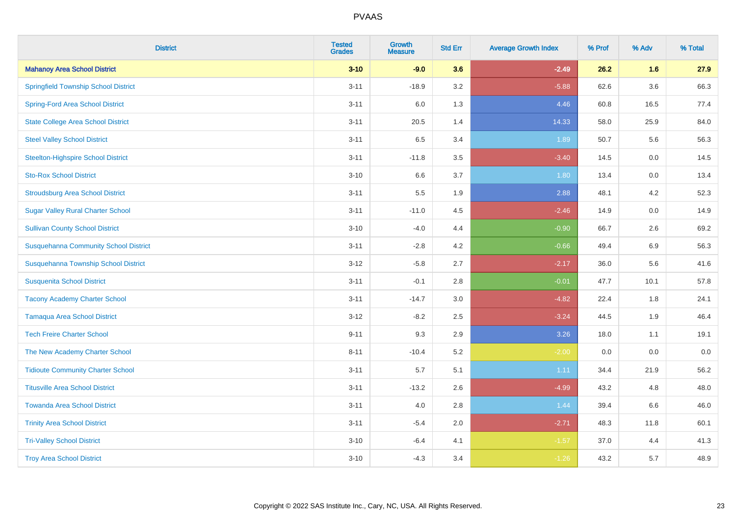| <b>District</b>                              | <b>Tested</b><br><b>Grades</b> | <b>Growth</b><br><b>Measure</b> | <b>Std Err</b> | <b>Average Growth Index</b> | % Prof | % Adv   | % Total |
|----------------------------------------------|--------------------------------|---------------------------------|----------------|-----------------------------|--------|---------|---------|
| <b>Mahanoy Area School District</b>          | $3 - 10$                       | $-9.0$                          | 3.6            | $-2.49$                     | 26.2   | 1.6     | 27.9    |
| <b>Springfield Township School District</b>  | $3 - 11$                       | $-18.9$                         | 3.2            | $-5.88$                     | 62.6   | $3.6\,$ | 66.3    |
| <b>Spring-Ford Area School District</b>      | $3 - 11$                       | 6.0                             | 1.3            | 4.46                        | 60.8   | 16.5    | 77.4    |
| <b>State College Area School District</b>    | $3 - 11$                       | 20.5                            | 1.4            | 14.33                       | 58.0   | 25.9    | 84.0    |
| <b>Steel Valley School District</b>          | $3 - 11$                       | 6.5                             | 3.4            | 1.89                        | 50.7   | 5.6     | 56.3    |
| <b>Steelton-Highspire School District</b>    | $3 - 11$                       | $-11.8$                         | 3.5            | $-3.40$                     | 14.5   | 0.0     | 14.5    |
| <b>Sto-Rox School District</b>               | $3 - 10$                       | 6.6                             | 3.7            | 1.80                        | 13.4   | 0.0     | 13.4    |
| <b>Stroudsburg Area School District</b>      | $3 - 11$                       | 5.5                             | 1.9            | 2.88                        | 48.1   | 4.2     | 52.3    |
| <b>Sugar Valley Rural Charter School</b>     | $3 - 11$                       | $-11.0$                         | 4.5            | $-2.46$                     | 14.9   | 0.0     | 14.9    |
| <b>Sullivan County School District</b>       | $3 - 10$                       | $-4.0$                          | 4.4            | $-0.90$                     | 66.7   | $2.6\,$ | 69.2    |
| <b>Susquehanna Community School District</b> | $3 - 11$                       | $-2.8$                          | 4.2            | $-0.66$                     | 49.4   | 6.9     | 56.3    |
| Susquehanna Township School District         | $3 - 12$                       | $-5.8$                          | 2.7            | $-2.17$                     | 36.0   | 5.6     | 41.6    |
| <b>Susquenita School District</b>            | $3 - 11$                       | $-0.1$                          | 2.8            | $-0.01$                     | 47.7   | 10.1    | 57.8    |
| <b>Tacony Academy Charter School</b>         | $3 - 11$                       | $-14.7$                         | 3.0            | $-4.82$                     | 22.4   | 1.8     | 24.1    |
| <b>Tamaqua Area School District</b>          | $3 - 12$                       | $-8.2$                          | 2.5            | $-3.24$                     | 44.5   | 1.9     | 46.4    |
| <b>Tech Freire Charter School</b>            | $9 - 11$                       | 9.3                             | 2.9            | 3.26                        | 18.0   | 1.1     | 19.1    |
| The New Academy Charter School               | $8 - 11$                       | $-10.4$                         | 5.2            | $-2.00$                     | 0.0    | 0.0     | $0.0\,$ |
| <b>Tidioute Community Charter School</b>     | $3 - 11$                       | 5.7                             | 5.1            | 1.11                        | 34.4   | 21.9    | 56.2    |
| <b>Titusville Area School District</b>       | $3 - 11$                       | $-13.2$                         | 2.6            | $-4.99$                     | 43.2   | 4.8     | 48.0    |
| <b>Towanda Area School District</b>          | $3 - 11$                       | 4.0                             | 2.8            | 1.44                        | 39.4   | 6.6     | 46.0    |
| <b>Trinity Area School District</b>          | $3 - 11$                       | $-5.4$                          | 2.0            | $-2.71$                     | 48.3   | 11.8    | 60.1    |
| <b>Tri-Valley School District</b>            | $3 - 10$                       | $-6.4$                          | 4.1            | $-1.57$                     | 37.0   | 4.4     | 41.3    |
| <b>Troy Area School District</b>             | $3 - 10$                       | $-4.3$                          | 3.4            | $-1.26$                     | 43.2   | 5.7     | 48.9    |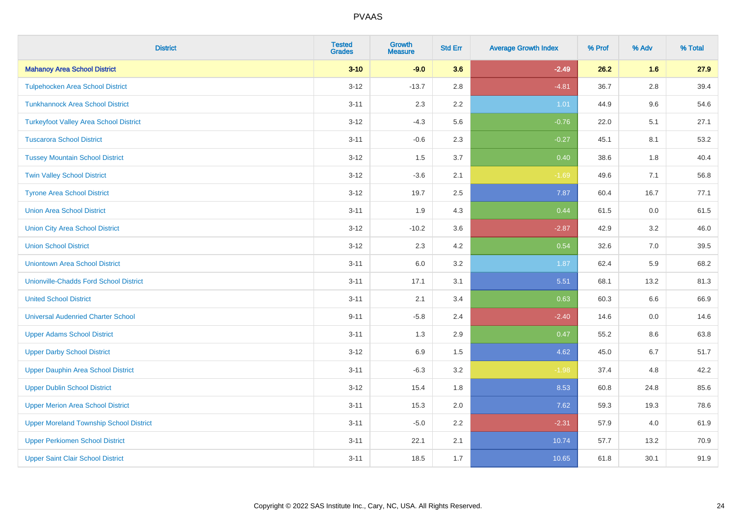| <b>District</b>                                | <b>Tested</b><br><b>Grades</b> | <b>Growth</b><br><b>Measure</b> | <b>Std Err</b> | <b>Average Growth Index</b> | % Prof | % Adv   | % Total |
|------------------------------------------------|--------------------------------|---------------------------------|----------------|-----------------------------|--------|---------|---------|
| <b>Mahanoy Area School District</b>            | $3 - 10$                       | $-9.0$                          | 3.6            | $-2.49$                     | 26.2   | 1.6     | 27.9    |
| <b>Tulpehocken Area School District</b>        | $3 - 12$                       | $-13.7$                         | 2.8            | $-4.81$                     | 36.7   | $2.8\,$ | 39.4    |
| <b>Tunkhannock Area School District</b>        | $3 - 11$                       | 2.3                             | 2.2            | 1.01                        | 44.9   | 9.6     | 54.6    |
| <b>Turkeyfoot Valley Area School District</b>  | $3 - 12$                       | $-4.3$                          | 5.6            | $-0.76$                     | 22.0   | 5.1     | 27.1    |
| <b>Tuscarora School District</b>               | $3 - 11$                       | $-0.6$                          | 2.3            | $-0.27$                     | 45.1   | 8.1     | 53.2    |
| <b>Tussey Mountain School District</b>         | $3 - 12$                       | 1.5                             | 3.7            | 0.40                        | 38.6   | 1.8     | 40.4    |
| <b>Twin Valley School District</b>             | $3 - 12$                       | $-3.6$                          | 2.1            | $-1.69$                     | 49.6   | 7.1     | 56.8    |
| <b>Tyrone Area School District</b>             | $3 - 12$                       | 19.7                            | 2.5            | 7.87                        | 60.4   | 16.7    | 77.1    |
| <b>Union Area School District</b>              | $3 - 11$                       | 1.9                             | 4.3            | 0.44                        | 61.5   | 0.0     | 61.5    |
| <b>Union City Area School District</b>         | $3 - 12$                       | $-10.2$                         | 3.6            | $-2.87$                     | 42.9   | 3.2     | 46.0    |
| <b>Union School District</b>                   | $3 - 12$                       | 2.3                             | 4.2            | 0.54                        | 32.6   | 7.0     | 39.5    |
| <b>Uniontown Area School District</b>          | $3 - 11$                       | 6.0                             | 3.2            | 1.87                        | 62.4   | 5.9     | 68.2    |
| <b>Unionville-Chadds Ford School District</b>  | $3 - 11$                       | 17.1                            | 3.1            | 5.51                        | 68.1   | 13.2    | 81.3    |
| <b>United School District</b>                  | $3 - 11$                       | 2.1                             | 3.4            | 0.63                        | 60.3   | 6.6     | 66.9    |
| <b>Universal Audenried Charter School</b>      | $9 - 11$                       | $-5.8$                          | 2.4            | $-2.40$                     | 14.6   | 0.0     | 14.6    |
| <b>Upper Adams School District</b>             | $3 - 11$                       | 1.3                             | 2.9            | 0.47                        | 55.2   | $8.6\,$ | 63.8    |
| <b>Upper Darby School District</b>             | $3 - 12$                       | 6.9                             | 1.5            | 4.62                        | 45.0   | 6.7     | 51.7    |
| <b>Upper Dauphin Area School District</b>      | $3 - 11$                       | $-6.3$                          | 3.2            | $-1.98$                     | 37.4   | 4.8     | 42.2    |
| <b>Upper Dublin School District</b>            | $3 - 12$                       | 15.4                            | 1.8            | 8.53                        | 60.8   | 24.8    | 85.6    |
| <b>Upper Merion Area School District</b>       | $3 - 11$                       | 15.3                            | 2.0            | 7.62                        | 59.3   | 19.3    | 78.6    |
| <b>Upper Moreland Township School District</b> | $3 - 11$                       | $-5.0$                          | 2.2            | $-2.31$                     | 57.9   | 4.0     | 61.9    |
| <b>Upper Perkiomen School District</b>         | $3 - 11$                       | 22.1                            | 2.1            | 10.74                       | 57.7   | 13.2    | 70.9    |
| <b>Upper Saint Clair School District</b>       | $3 - 11$                       | 18.5                            | 1.7            | 10.65                       | 61.8   | 30.1    | 91.9    |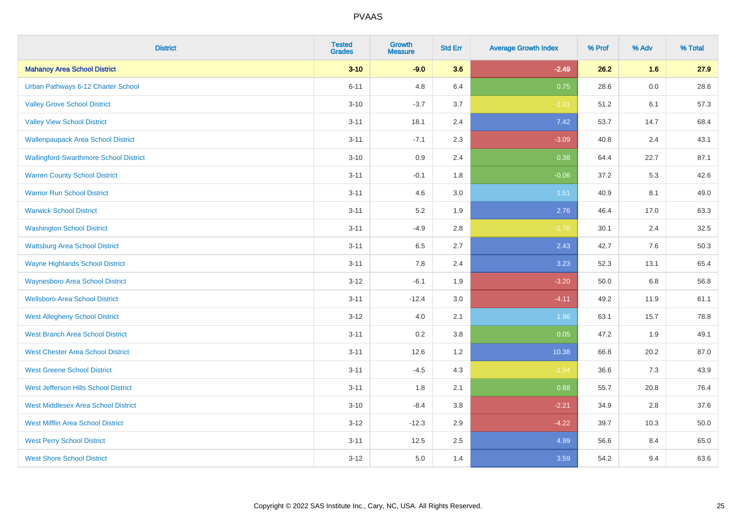| <b>District</b>                               | <b>Tested</b><br><b>Grades</b> | <b>Growth</b><br><b>Measure</b> | <b>Std Err</b> | <b>Average Growth Index</b> | % Prof | % Adv   | % Total |
|-----------------------------------------------|--------------------------------|---------------------------------|----------------|-----------------------------|--------|---------|---------|
| <b>Mahanoy Area School District</b>           | $3 - 10$                       | $-9.0$                          | 3.6            | $-2.49$                     | 26.2   | 1.6     | 27.9    |
| Urban Pathways 6-12 Charter School            | $6 - 11$                       | 4.8                             | 6.4            | 0.75                        | 28.6   | $0.0\,$ | 28.6    |
| <b>Valley Grove School District</b>           | $3 - 10$                       | $-3.7$                          | 3.7            | $-1.01$                     | 51.2   | 6.1     | 57.3    |
| <b>Valley View School District</b>            | $3 - 11$                       | 18.1                            | 2.4            | 7.42                        | 53.7   | 14.7    | 68.4    |
| <b>Wallenpaupack Area School District</b>     | $3 - 11$                       | $-7.1$                          | 2.3            | $-3.09$                     | 40.8   | 2.4     | 43.1    |
| <b>Wallingford-Swarthmore School District</b> | $3 - 10$                       | 0.9                             | 2.4            | 0.38                        | 64.4   | 22.7    | 87.1    |
| <b>Warren County School District</b>          | $3 - 11$                       | $-0.1$                          | 1.8            | $-0.06$                     | 37.2   | 5.3     | 42.6    |
| <b>Warrior Run School District</b>            | $3 - 11$                       | 4.6                             | 3.0            | $1.51$                      | 40.9   | 8.1     | 49.0    |
| <b>Warwick School District</b>                | $3 - 11$                       | 5.2                             | 1.9            | 2.76                        | 46.4   | 17.0    | 63.3    |
| <b>Washington School District</b>             | $3 - 11$                       | $-4.9$                          | 2.8            | $-1.76$                     | 30.1   | 2.4     | 32.5    |
| <b>Wattsburg Area School District</b>         | $3 - 11$                       | 6.5                             | 2.7            | 2.43                        | 42.7   | 7.6     | 50.3    |
| <b>Wayne Highlands School District</b>        | $3 - 11$                       | 7.8                             | 2.4            | 3.23                        | 52.3   | 13.1    | 65.4    |
| <b>Waynesboro Area School District</b>        | $3 - 12$                       | $-6.1$                          | 1.9            | $-3.20$                     | 50.0   | 6.8     | 56.8    |
| <b>Wellsboro Area School District</b>         | $3 - 11$                       | $-12.4$                         | 3.0            | $-4.11$                     | 49.2   | 11.9    | 61.1    |
| <b>West Allegheny School District</b>         | $3 - 12$                       | 4.0                             | 2.1            | 1.96                        | 63.1   | 15.7    | 78.8    |
| <b>West Branch Area School District</b>       | $3 - 11$                       | 0.2                             | 3.8            | 0.05                        | 47.2   | 1.9     | 49.1    |
| <b>West Chester Area School District</b>      | $3 - 11$                       | 12.6                            | 1.2            | 10.38                       | 66.8   | 20.2    | 87.0    |
| <b>West Greene School District</b>            | $3 - 11$                       | $-4.5$                          | 4.3            | $-1.04$                     | 36.6   | 7.3     | 43.9    |
| West Jefferson Hills School District          | $3 - 11$                       | 1.8                             | 2.1            | 0.88                        | 55.7   | 20.8    | 76.4    |
| <b>West Middlesex Area School District</b>    | $3 - 10$                       | $-8.4$                          | $3.8\,$        | $-2.21$                     | 34.9   | 2.8     | 37.6    |
| <b>West Mifflin Area School District</b>      | $3 - 12$                       | $-12.3$                         | 2.9            | $-4.22$                     | 39.7   | 10.3    | 50.0    |
| <b>West Perry School District</b>             | $3 - 11$                       | 12.5                            | 2.5            | 4.99                        | 56.6   | 8.4     | 65.0    |
| <b>West Shore School District</b>             | $3 - 12$                       | 5.0                             | 1.4            | 3.59                        | 54.2   | 9.4     | 63.6    |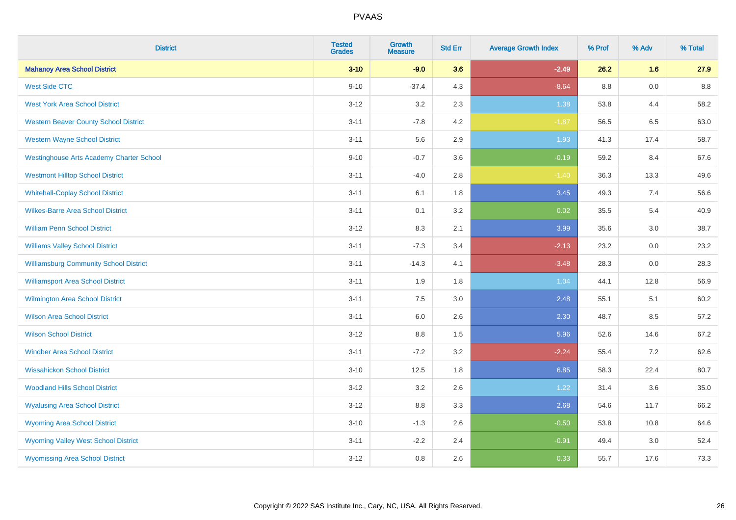| <b>District</b>                                 | <b>Tested</b><br><b>Grades</b> | <b>Growth</b><br><b>Measure</b> | <b>Std Err</b> | <b>Average Growth Index</b> | % Prof | % Adv   | % Total |
|-------------------------------------------------|--------------------------------|---------------------------------|----------------|-----------------------------|--------|---------|---------|
| <b>Mahanoy Area School District</b>             | $3 - 10$                       | $-9.0$                          | 3.6            | $-2.49$                     | 26.2   | 1.6     | 27.9    |
| <b>West Side CTC</b>                            | $9 - 10$                       | $-37.4$                         | 4.3            | $-8.64$                     | 8.8    | $0.0\,$ | 8.8     |
| <b>West York Area School District</b>           | $3 - 12$                       | 3.2                             | 2.3            | 1.38                        | 53.8   | 4.4     | 58.2    |
| <b>Western Beaver County School District</b>    | $3 - 11$                       | $-7.8$                          | 4.2            | $-1.87$                     | 56.5   | 6.5     | 63.0    |
| <b>Western Wayne School District</b>            | $3 - 11$                       | 5.6                             | 2.9            | 1.93                        | 41.3   | 17.4    | 58.7    |
| <b>Westinghouse Arts Academy Charter School</b> | $9 - 10$                       | $-0.7$                          | 3.6            | $-0.19$                     | 59.2   | 8.4     | 67.6    |
| <b>Westmont Hilltop School District</b>         | $3 - 11$                       | $-4.0$                          | 2.8            | $-1.40$                     | 36.3   | 13.3    | 49.6    |
| <b>Whitehall-Coplay School District</b>         | $3 - 11$                       | 6.1                             | 1.8            | 3.45                        | 49.3   | 7.4     | 56.6    |
| <b>Wilkes-Barre Area School District</b>        | $3 - 11$                       | 0.1                             | 3.2            | 0.02                        | 35.5   | 5.4     | 40.9    |
| <b>William Penn School District</b>             | $3-12$                         | 8.3                             | 2.1            | 3.99                        | 35.6   | 3.0     | 38.7    |
| <b>Williams Valley School District</b>          | $3 - 11$                       | $-7.3$                          | 3.4            | $-2.13$                     | 23.2   | 0.0     | 23.2    |
| <b>Williamsburg Community School District</b>   | $3 - 11$                       | $-14.3$                         | 4.1            | $-3.48$                     | 28.3   | 0.0     | 28.3    |
| <b>Williamsport Area School District</b>        | $3 - 11$                       | 1.9                             | 1.8            | 1.04                        | 44.1   | 12.8    | 56.9    |
| <b>Wilmington Area School District</b>          | $3 - 11$                       | 7.5                             | 3.0            | 2.48                        | 55.1   | 5.1     | 60.2    |
| <b>Wilson Area School District</b>              | $3 - 11$                       | 6.0                             | 2.6            | 2.30                        | 48.7   | 8.5     | 57.2    |
| <b>Wilson School District</b>                   | $3 - 12$                       | $8.8\,$                         | 1.5            | 5.96                        | 52.6   | 14.6    | 67.2    |
| <b>Windber Area School District</b>             | $3 - 11$                       | $-7.2$                          | 3.2            | $-2.24$                     | 55.4   | 7.2     | 62.6    |
| <b>Wissahickon School District</b>              | $3 - 10$                       | 12.5                            | 1.8            | 6.85                        | 58.3   | 22.4    | 80.7    |
| <b>Woodland Hills School District</b>           | $3 - 12$                       | 3.2                             | 2.6            | 1.22                        | 31.4   | 3.6     | 35.0    |
| <b>Wyalusing Area School District</b>           | $3-12$                         | 8.8                             | 3.3            | 2.68                        | 54.6   | 11.7    | 66.2    |
| <b>Wyoming Area School District</b>             | $3 - 10$                       | $-1.3$                          | 2.6            | $-0.50$                     | 53.8   | 10.8    | 64.6    |
| <b>Wyoming Valley West School District</b>      | $3 - 11$                       | $-2.2$                          | 2.4            | $-0.91$                     | 49.4   | 3.0     | 52.4    |
| <b>Wyomissing Area School District</b>          | $3 - 12$                       | 0.8                             | 2.6            | 0.33                        | 55.7   | 17.6    | 73.3    |